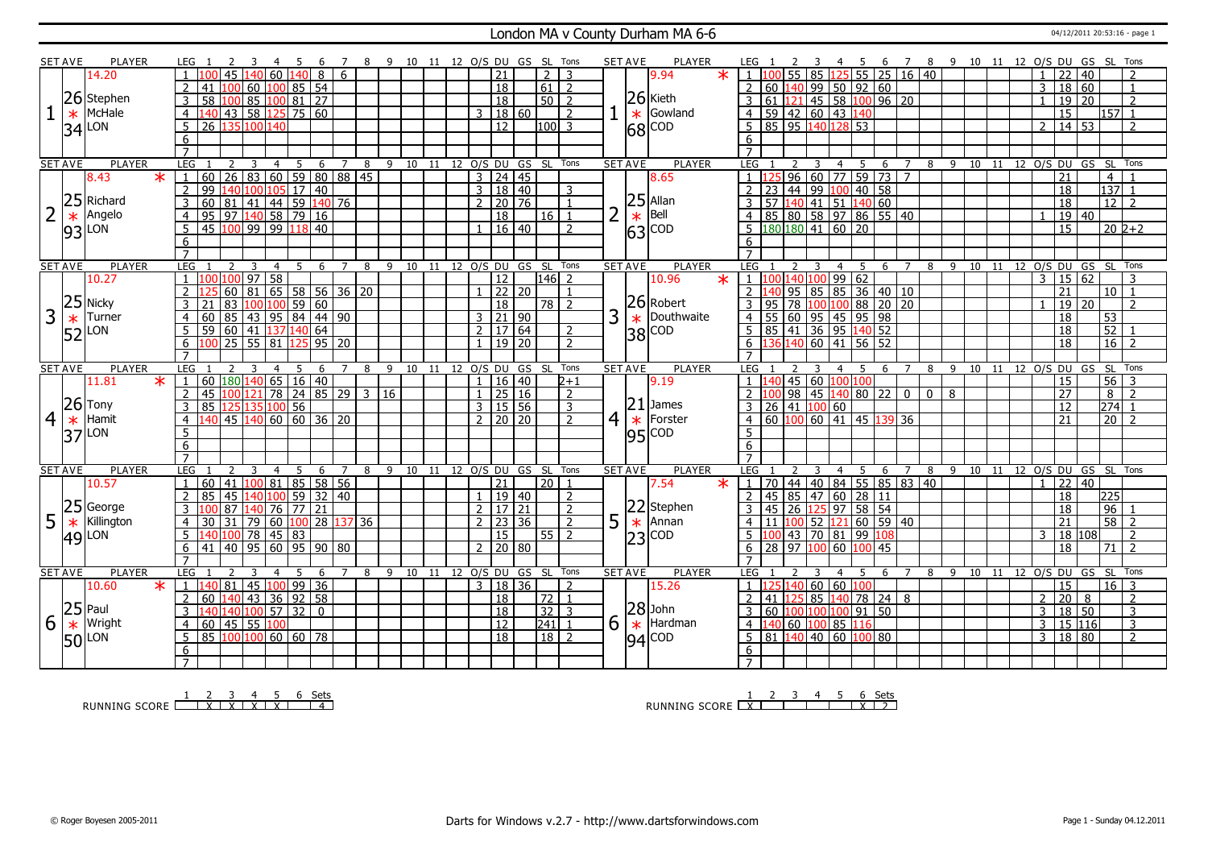#### London MA v County Durham MA 6-6 04/12/2011 20:53:16 - page 1

|                | <b>SET AVE</b> | <b>PLAYER</b>    | LEG 1<br>-2<br>-3<br>-4                                                                   | -5<br>-6               | $\overline{7}$      | 8 9 10 11 12 O/S DU GS SL Tons |                            |                     |                     |                    |                | <b>SET AVE</b> | PLAYER                                                                                    | LEG 1<br>$\mathcal{L}$                                                                                                                                                                                                                                                                                                                                                                  | 4 5                 |                     |                         |   |  | 6 7 8 9 10 11 12 O/S DU GS SL Tons |                     |                      |
|----------------|----------------|------------------|-------------------------------------------------------------------------------------------|------------------------|---------------------|--------------------------------|----------------------------|---------------------|---------------------|--------------------|----------------|----------------|-------------------------------------------------------------------------------------------|-----------------------------------------------------------------------------------------------------------------------------------------------------------------------------------------------------------------------------------------------------------------------------------------------------------------------------------------------------------------------------------------|---------------------|---------------------|-------------------------|---|--|------------------------------------|---------------------|----------------------|
|                |                | 14.20            | 140 60 140<br>45                                                                          | 8                      | 6                   |                                |                            | $\overline{21}$     |                     | 2                  | 3              |                | $\ast$<br>9.94                                                                            | 55 85 125 55 25 16 40<br>1 100                                                                                                                                                                                                                                                                                                                                                          |                     |                     |                         |   |  | 22<br>$\mathbf{1}$                 | 40                  | $\mathcal{P}$        |
|                |                |                  | $\mathcal{L}$<br>41                                                                       | 60 100 85 54           |                     |                                |                            | $\overline{18}$     |                     | $61$   2           |                |                |                                                                                           | $60 \,   140   99   50   92   60$<br>$\mathcal{L}$                                                                                                                                                                                                                                                                                                                                      |                     |                     |                         |   |  | 3                                  | 18 60               | $\overline{1}$       |
|                |                | 26 Stephen       | $\overline{58}$<br>3<br>100                                                               | 85   100   81   27     |                     |                                |                            | $\overline{18}$     |                     | $50$   2           |                |                | $26$ Kieth                                                                                | 3 61 121 45 58 100 96 20                                                                                                                                                                                                                                                                                                                                                                |                     |                     |                         |   |  | $\overline{19}$<br>$\mathbf{1}$    | $\overline{20}$     | 2                    |
|                | $\ast$         | McHale           | $140$ 43 58 125 75 60<br>$\overline{4}$                                                   |                        |                     |                                |                            |                     | 3   18   60         |                    | $\overline{2}$ |                | Gowland<br>$\ast$                                                                         | $4 \overline{)59 \overline{)42 \overline{)60 \overline{)43 \overline{140}}}$                                                                                                                                                                                                                                                                                                            |                     |                     |                         |   |  | $\overline{15}$                    |                     | $157$ 1              |
|                |                | LON              | 5<br>26 135<br>100 140                                                                    |                        |                     |                                |                            | 12 <sup>1</sup>     |                     | $ 100 $ 3          |                |                |                                                                                           | 5   85   95   140   128   53                                                                                                                                                                                                                                                                                                                                                            |                     |                     |                         |   |  | $\overline{2}$                     | $14 \overline{)53}$ | 2                    |
|                | 34             |                  | 6                                                                                         |                        |                     |                                |                            |                     |                     |                    |                |                | $68$ $\degree$                                                                            | 6                                                                                                                                                                                                                                                                                                                                                                                       |                     |                     |                         |   |  |                                    |                     |                      |
|                |                |                  |                                                                                           |                        |                     |                                |                            |                     |                     |                    |                |                |                                                                                           |                                                                                                                                                                                                                                                                                                                                                                                         |                     |                     |                         |   |  |                                    |                     |                      |
|                | <b>SET AVE</b> | <b>PLAYER</b>    | LEG<br>$\overline{3}$<br>$\overline{4}$<br>2                                              | 5<br>$\overline{6}$    | $\overline{z}$<br>8 | 9 10 11 12 O/S DU GS SL Tons   |                            |                     |                     |                    |                | <b>SET AVE</b> | <b>PLAYER</b>                                                                             | LEG 1<br>2 3                                                                                                                                                                                                                                                                                                                                                                            | 4 5                 | 6                   | $\overline{7}$          |   |  | 8 9 10 11 12 O/S DU GS SL Tons     |                     |                      |
|                |                | 8.43<br>$\star$  | 60 26 83 60 59 80 88 45                                                                   |                        |                     |                                |                            | $3 \mid 24 \mid 45$ |                     |                    |                |                | 8.65                                                                                      | 96   60   77   59   73   7                                                                                                                                                                                                                                                                                                                                                              |                     |                     |                         |   |  | 21                                 |                     | $\overline{4}$       |
|                |                |                  | $\overline{99}$<br>2<br>140 100 105                                                       | 17 40                  |                     |                                |                            |                     | 3   18   40         |                    | 3              |                |                                                                                           | 23 44 99 100 40 58                                                                                                                                                                                                                                                                                                                                                                      |                     |                     |                         |   |  | 18                                 |                     | $137$ 1              |
|                | 25             | Richard          | 60 81 41 44 59 140 76<br>$\overline{3}$                                                   |                        |                     |                                |                            | 2 <sub>1</sub>      | 20 76               |                    |                |                |                                                                                           | 57 140 41 51 140 60<br>3                                                                                                                                                                                                                                                                                                                                                                |                     |                     |                         |   |  | $\overline{18}$                    |                     | $12$   2             |
|                |                | Angelo           |                                                                                           |                        |                     |                                |                            |                     |                     | 16                 | $\overline{1}$ | $\overline{2}$ |                                                                                           |                                                                                                                                                                                                                                                                                                                                                                                         |                     |                     |                         |   |  |                                    | 19 40               |                      |
|                | $\ast$         | LON              | $\overline{4}$<br>5                                                                       |                        |                     |                                |                            | 18                  | $1 \mid 16 \mid 40$ |                    | $\overline{2}$ |                | $\begin{array}{c} 25 \\ * \\ 63 \end{array}$ Allan                                        | 4 85 80 58 97 86 55 40<br>5 180 180 41 60 20                                                                                                                                                                                                                                                                                                                                            |                     |                     |                         |   |  | $\overline{15}$                    |                     | $20\overline{2}+2$   |
|                | 93             |                  | 6                                                                                         |                        |                     |                                |                            |                     |                     |                    |                |                |                                                                                           |                                                                                                                                                                                                                                                                                                                                                                                         |                     |                     |                         |   |  |                                    |                     |                      |
|                |                |                  | $\overline{7}$                                                                            |                        |                     |                                |                            |                     |                     |                    |                |                |                                                                                           | 6                                                                                                                                                                                                                                                                                                                                                                                       |                     |                     |                         |   |  |                                    |                     |                      |
|                | <b>SET AVE</b> | <b>PLAYER</b>    | LEG<br>3<br>$\overline{4}$                                                                | 6<br>5                 | $\overline{7}$<br>8 | 9                              | 11 12 0/S DU GS SL         |                     |                     |                    | Tons           | <b>SET AVE</b> | <b>PLAYER</b>                                                                             | LEG<br>3                                                                                                                                                                                                                                                                                                                                                                                | $\overline{4}$<br>5 | 6 7                 | $\overline{8}$          |   |  | 9 10 11 12 0/S DU GS SL Tons       |                     |                      |
|                |                | 10.27            | $ 100 100 $ 97   58<br>$\overline{1}$                                                     |                        |                     | 10                             |                            | 12                  |                     | $ 146 $ 2          |                |                | 10.96<br>$\ast$                                                                           | 1 100 140 100 99 62                                                                                                                                                                                                                                                                                                                                                                     |                     |                     |                         |   |  | $\mathbf{3}$                       | 15 62               | 3                    |
|                |                |                  | $60 \ 81 \ 65 \ 58 \ 56 \ 36 \ 20$<br>2                                                   |                        |                     |                                |                            |                     | 22 20               |                    | $\overline{1}$ |                |                                                                                           | 140 95 85 85 36 40 10<br>2 <sup>1</sup>                                                                                                                                                                                                                                                                                                                                                 |                     |                     |                         |   |  | $\overline{21}$                    |                     | $10$   1             |
|                | 25             | <b>Nicky</b>     | 3                                                                                         |                        |                     |                                |                            | $\overline{18}$     |                     |                    |                |                | $ 26 $ Robert                                                                             | 95 78 100 100 88 20 20                                                                                                                                                                                                                                                                                                                                                                  |                     |                     |                         |   |  |                                    | 20                  | $\overline{z}$       |
| 3              |                |                  | 83 100 100 59 60                                                                          |                        |                     |                                |                            |                     |                     | $78$   2           |                |                | Douthwaite                                                                                |                                                                                                                                                                                                                                                                                                                                                                                         |                     |                     |                         |   |  | 19                                 |                     |                      |
|                | $\ast$         | Turner           | 85<br>$\overline{4}$<br>60                                                                | 43 95 84 44 90         |                     |                                |                            | $3 \mid 21 \mid 90$ |                     |                    |                | 3              | $\ast$                                                                                    | 55 60 95 45 95 98<br>4 <sup>1</sup>                                                                                                                                                                                                                                                                                                                                                     |                     |                     |                         |   |  | 18                                 |                     | 53                   |
|                | 52             | LON              | 60 41 137 140 64<br>5<br>59                                                               |                        |                     |                                |                            |                     | 2   17   64         |                    | 2              |                | $\overline{38}$<br> COD                                                                   | 85 41 36 95 140 52<br>5                                                                                                                                                                                                                                                                                                                                                                 |                     |                     |                         |   |  | 18                                 |                     | 52                   |
|                |                |                  | 100 25 55 81 125 95 20<br>6                                                               |                        |                     |                                |                            |                     | $19 \mid 20$        |                    | $\overline{2}$ |                |                                                                                           | $6 \overline{136} \overline{140} \overline{60} \overline{141} \overline{56} \overline{52}$                                                                                                                                                                                                                                                                                              |                     |                     |                         |   |  | $\overline{18}$                    |                     | $16$   2             |
|                |                |                  |                                                                                           |                        |                     |                                |                            |                     |                     |                    |                |                |                                                                                           |                                                                                                                                                                                                                                                                                                                                                                                         |                     |                     |                         |   |  |                                    |                     |                      |
|                |                |                  |                                                                                           |                        |                     |                                |                            |                     |                     |                    |                |                |                                                                                           |                                                                                                                                                                                                                                                                                                                                                                                         |                     |                     |                         |   |  |                                    |                     |                      |
|                | <b>SET AVE</b> | <b>PLAYER</b>    | LEG<br>3<br>$\overline{4}$                                                                | 6                      | $\overline{7}$<br>8 | 9<br>10                        | 11                         |                     | 12 O/S DU GS        | -SL                | Tons           | <b>SET AVE</b> | <b>PLAYER</b>                                                                             | LEG                                                                                                                                                                                                                                                                                                                                                                                     | 4                   | 6                   | 8                       | 9 |  | 10 11 12 O/S DU GS                 |                     | SL Tons              |
|                |                | $\ast$<br>11.81  | $\mathbf{1}$                                                                              |                        |                     |                                |                            | $\mathbf{1}$        | 16 40               |                    | $2 + 1$        |                | 9.19                                                                                      | $1 \vert 140 \vert 45 \vert 60 \vert 100 \vert 100$                                                                                                                                                                                                                                                                                                                                     |                     |                     |                         |   |  | 15                                 |                     | $56 \mid 3$          |
|                |                |                  | 60   180   140   65   16   40  <br>  45   100   121   78   24   85   29<br>$\overline{2}$ |                        | $\overline{3}$      | 16                             |                            |                     | $1 \ 25 \ 16$       |                    | 2              |                |                                                                                           | $2 \left  100 \right  98 \left  45 \right  140 \left  80 \right  22 \left  100 \right  12 \left  100 \right  12 \left  100 \right  12 \left  100 \right  12 \left  100 \right  12 \left  100 \right  12 \left  100 \right  12 \left  100 \right  12 \left  100 \right  12 \left  100 \right  12 \left  100 \right  12 \left  100 \right  12 \left  100 \right  12 \left  100 \right  1$ |                     |                     | $\Omega$<br>$\mathbf 0$ | 8 |  | $\overline{27}$                    |                     | 8<br>$\overline{2}$  |
|                |                | $26$ Tony        | 85 125 135 100 56<br>3                                                                    |                        |                     |                                |                            |                     | 3   15   56         |                    | $\overline{3}$ |                | $21$ James                                                                                | $3 \ 26 \ 41 \ 100 \ 60$                                                                                                                                                                                                                                                                                                                                                                |                     |                     |                         |   |  | 12                                 |                     | $\overline{274}$ 1   |
| $\overline{4}$ | $\ast$         | Hamit            | $140$ 45 $140$ 60 60 36 20<br>$\overline{4}$                                              |                        |                     |                                |                            |                     | 2 20 20             |                    | $\overline{2}$ | $\overline{4}$ | $\ast$<br>Forster                                                                         | 4 60 100 60 41 45 139 36                                                                                                                                                                                                                                                                                                                                                                |                     |                     |                         |   |  | 21                                 |                     | $20$   2             |
|                | 37             | LON              | 5                                                                                         |                        |                     |                                |                            |                     |                     |                    |                |                | $ 95 ^{COD}$                                                                              | 5                                                                                                                                                                                                                                                                                                                                                                                       |                     |                     |                         |   |  |                                    |                     |                      |
|                |                |                  | 6                                                                                         |                        |                     |                                |                            |                     |                     |                    |                |                |                                                                                           | $6\overline{6}$                                                                                                                                                                                                                                                                                                                                                                         |                     |                     |                         |   |  |                                    |                     |                      |
|                |                |                  | $\overline{7}$                                                                            |                        |                     |                                |                            |                     |                     |                    |                |                |                                                                                           | $\overline{7}$                                                                                                                                                                                                                                                                                                                                                                          |                     |                     |                         |   |  |                                    |                     |                      |
|                | <b>SET AVE</b> | <b>PLAYER</b>    | <b>LEG</b><br>$\mathbf{3}$<br>$\overline{z}$<br>$\overline{4}$                            | 5<br>6                 | $\overline{7}$<br>8 | 9                              | 10 11 12 0/S DU GS SL Tons |                     |                     |                    |                | <b>SET AVE</b> | <b>PLAYER</b>                                                                             | LEG 1<br>$\overline{z}$<br>$\overline{\mathbf{3}}$                                                                                                                                                                                                                                                                                                                                      | 4 <sub>5</sub>      | 6<br>$\overline{7}$ |                         |   |  | 8 9 10 11 12 0/S DU GS SL Tons     |                     |                      |
|                |                | 10.57            | 41 100 81 85 58 56<br>$\overline{1}$<br>60                                                |                        |                     |                                |                            | $\overline{21}$     |                     | $\overline{20}$    | $\overline{1}$ |                | 7.54<br>$\star$                                                                           | 70 44 40 84 55 85 83 40<br>$\overline{1}$                                                                                                                                                                                                                                                                                                                                               |                     |                     |                         |   |  | $\overline{1}$                     | 22 40               |                      |
|                |                |                  | 2<br>  45   140   100   59   32   40<br>85                                                |                        |                     |                                |                            |                     | 1   19   40         |                    | $\overline{2}$ |                |                                                                                           | 2 45 85 47 60 28 11                                                                                                                                                                                                                                                                                                                                                                     |                     |                     |                         |   |  | $\overline{18}$                    |                     | 225                  |
|                | 25             | George           | $\overline{87}$<br>3<br>140                                                               | 76 77 21               |                     |                                |                            | 2   17   21         |                     |                    | $\overline{2}$ |                |                                                                                           | 45 26 125 97 58 54<br>3                                                                                                                                                                                                                                                                                                                                                                 |                     |                     |                         |   |  | 18                                 |                     | 96                   |
| 5              | $\ast$         | Killington       | 31<br>$\overline{4}$<br>30                                                                | 79 60 100 28 137 36    |                     |                                |                            | 2 23                | 36                  |                    | $\overline{2}$ | 5              | $22$ Stephen<br>$\ast$ Annan                                                              | 11 100 52 121 60 59 40                                                                                                                                                                                                                                                                                                                                                                  |                     |                     |                         |   |  | 21                                 |                     | 58<br>$\overline{2}$ |
|                |                | $ 49 $ LON       | 140 100 78 45 83<br>5 <sup>5</sup>                                                        |                        |                     |                                |                            | 15                  |                     | $55$   2           |                |                | $ 23 ^{COD}$                                                                              | 100 43 70 81 99 108<br>$5-1$                                                                                                                                                                                                                                                                                                                                                            |                     |                     |                         |   |  | $\overline{3}$                     | 18 108              | $\mathcal{P}$        |
|                |                |                  | 41<br>l 40<br>6                                                                           | 95   60   95   90   80 |                     |                                |                            | $2 \mid 20 \mid 80$ |                     |                    |                |                |                                                                                           | 28 97 100 60 100 45<br>6 <sup>1</sup>                                                                                                                                                                                                                                                                                                                                                   |                     |                     |                         |   |  | 18                                 |                     | 71<br>$\overline{2}$ |
|                |                |                  | $\overline{7}$                                                                            |                        |                     |                                |                            |                     |                     |                    |                |                |                                                                                           | $\overline{7}$                                                                                                                                                                                                                                                                                                                                                                          |                     |                     |                         |   |  |                                    |                     |                      |
|                | <b>SET AVE</b> | PLAYER           | LEG<br>$\mathcal{L}$<br>3<br>$\overline{4}$                                               | -5<br>6                | 7                   | 8 9 10                         | 11 12 O/S DU GS SL         |                     |                     |                    | Tons           | <b>SET AVE</b> | <b>PLAYER</b>                                                                             | LEG<br>$\mathcal{L}$<br>- 3                                                                                                                                                                                                                                                                                                                                                             | 4 5                 | 6 7                 | -8                      |   |  | 9 10 11 12 O/S DU GS SL Tons       |                     |                      |
|                |                | 10.60<br>$\star$ | 81 <br>1 140                                                                              | 45 100 99 36           |                     |                                |                            |                     | 3   18   36         |                    | $\overline{2}$ |                | 15.26                                                                                     | 125 140 60 60 100<br>1 <sup>1</sup>                                                                                                                                                                                                                                                                                                                                                     |                     |                     |                         |   |  | 15                                 |                     | $16 \mid 3$          |
|                |                |                  | $\boxed{60}$ $\boxed{140}$ 43 36 92 58<br>2                                               |                        |                     |                                |                            | 18                  |                     | 72   1             |                |                |                                                                                           | 41 125 85 140 78 24 8<br>$\mathcal{L}$                                                                                                                                                                                                                                                                                                                                                  |                     |                     |                         |   |  | 20<br>2                            | 8                   | 2                    |
|                |                | $ 25 $ Paul      | 14014010057320<br>3                                                                       |                        |                     |                                |                            | $\overline{18}$     |                     | $32 \mid 3$        |                |                |                                                                                           | 60 100 100 100 91 50<br>3                                                                                                                                                                                                                                                                                                                                                               |                     |                     |                         |   |  | $\overline{3}$                     | $18$ 50             | $\overline{3}$       |
| 6              | $\ast$         | Wright           | $60$   45   55   100<br>$\overline{4}$                                                    |                        |                     |                                |                            | $\overline{12}$     |                     | $\overline{241}$ 1 |                | 6.             | $\begin{array}{ c c }\n 28{\scriptstyle\text{John}} \\ \text{14}\n\end{array}$<br>Hardman | $\overline{4}$<br>140 60 100 85 116                                                                                                                                                                                                                                                                                                                                                     |                     |                     |                         |   |  | $\overline{3}$                     | 15 116              | $\overline{3}$       |
|                | 50             | LON              | 85 100 100 60 60 78<br>5                                                                  |                        |                     |                                |                            | $\overline{18}$     |                     | $18$   2           |                |                | COD<br>94                                                                                 | 5   81   140   40   60   100   80                                                                                                                                                                                                                                                                                                                                                       |                     |                     |                         |   |  | 3   18   80                        |                     | $\overline{2}$       |
|                |                |                  | 6                                                                                         |                        |                     |                                |                            |                     |                     |                    |                |                |                                                                                           | 6                                                                                                                                                                                                                                                                                                                                                                                       |                     |                     |                         |   |  |                                    |                     |                      |

RUNNING SCORE <u>| X | X | X | X | X | 4</u><br>RUNNING SCORE <u>| X | X | X | X | X | 4</u>

RUNNING SCORE <u>| 2 3 4 5 6 Sets</u><br>| 2 3 4 5 6 Sets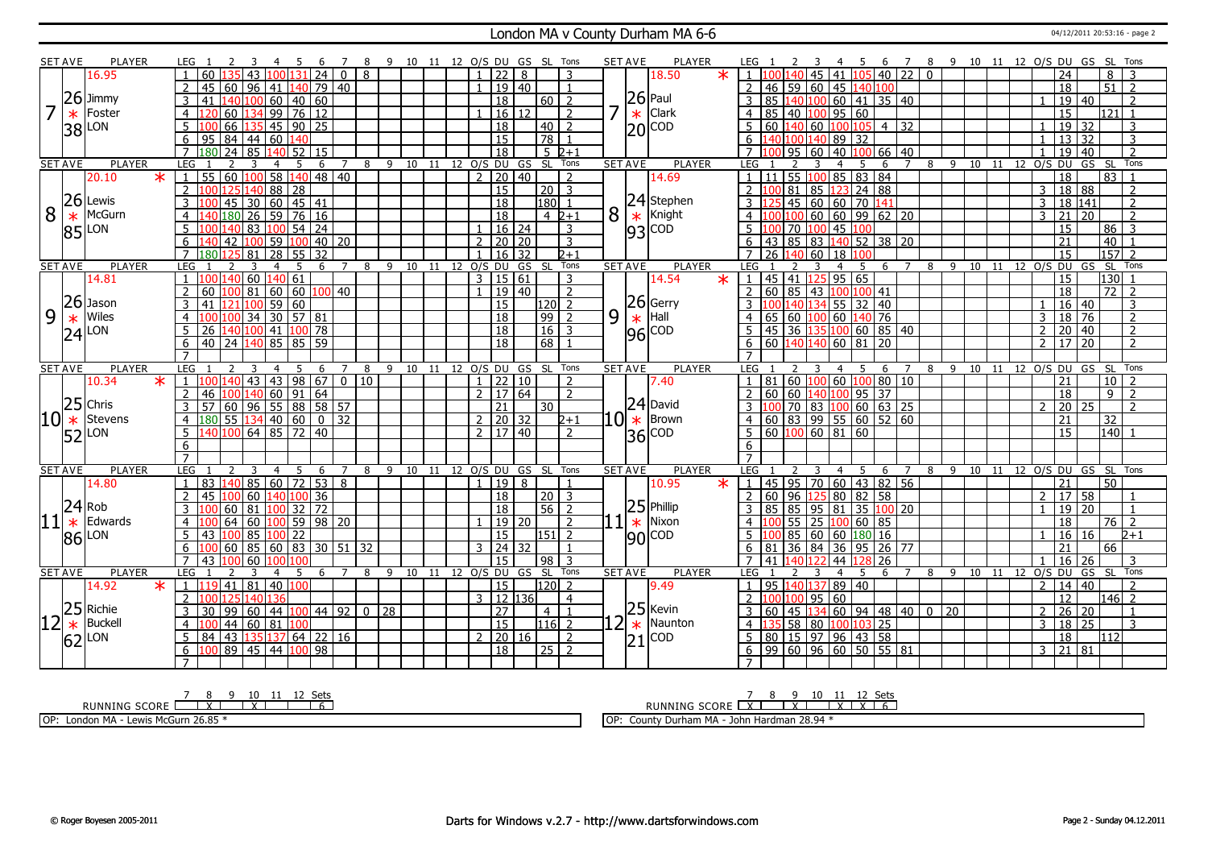#### London MA v County Durham MA 6-6 04/12/2011 20:53:16 - page 2

|                | SET AVE         | <b>PLAYER</b>   | LEG                                                                                    | -9              |    | 10 11 12 O/S DU GS SL Tons   |              |                                   |   | <b>PLAYER</b><br><b>SET AVE</b>                   | 8 9 10 11 12 O/S DU GS SL Tons<br>6<br><sup>7</sup>                                                            |
|----------------|-----------------|-----------------|----------------------------------------------------------------------------------------|-----------------|----|------------------------------|--------------|-----------------------------------|---|---------------------------------------------------|----------------------------------------------------------------------------------------------------------------|
|                |                 | 16.95           | $\mathbf{0}$<br>8<br>60<br>24                                                          |                 |    | 22                           | 8            | 3                                 |   | 18.50<br>$\ast$                                   | $22$ 0<br>40<br>$\overline{8}$<br>3<br>24<br>41<br>105                                                         |
|                |                 |                 | $\overline{2}$<br>45<br>l 60<br>  96<br>140 79<br>40<br>41                             |                 |    |                              | 19 40        |                                   |   |                                                   | 59 60 45 140<br>46<br>100<br>18<br>51<br>$\overline{2}$<br>$\overline{\phantom{0}}$                            |
|                |                 | $26$ Jimmy      | 60<br> 40 60<br>3<br>100<br>41                                                         |                 |    | $\overline{18}$              |              | $60$   2                          |   | $ 26 $ Paul                                       | 85<br>60<br>35 40<br>$\overline{19}$<br>41<br>40<br>$\overline{2}$                                             |
|                | $\ast$          | Foster          | 99<br>76 12<br>60<br>$\overline{4}$                                                    |                 |    |                              | 16 12        | 2                                 |   | <b>Clark</b><br>$\ast$                            | 60<br>121 I<br>85<br>40<br>95<br>15<br>$\overline{4}$                                                          |
|                |                 | LON             | $45$ 90 25<br>66<br>5                                                                  |                 |    | 18                           |              | $40\overline{2}$                  |   | $ 20 ^{COD}$                                      | $\overline{19}$<br>5<br>60 140 60<br>32<br>32<br>3<br>100<br>10 <sup>5</sup><br>$\overline{4}$                 |
|                | 38              |                 | $\sqrt{84}$<br>60<br>6<br>95<br>  44                                                   |                 |    | 15                           |              | $\overline{78}$<br>$\overline{1}$ |   |                                                   | $\overline{3}$<br>$\overline{13}$<br>$\overline{32}$<br>89<br>32<br>100 140                                    |
|                |                 |                 | $\overline{7}$<br>180<br>74<br>85<br>140<br>52<br>15                                   |                 |    | $\overline{18}$              |              | $5\sqrt{2+1}$                     |   |                                                   | $\mathcal{L}$<br>19<br>40<br>95<br>40<br>100<br>66 40<br>60                                                    |
|                | <b>SET AVE</b>  | <b>PLAYER</b>   | <b>LEG</b><br>$\overline{7}$<br>8<br>3<br>-5<br>6<br>4                                 |                 |    | 9 10 11 12 O/S DU GS SL Tons |              |                                   |   | <b>SET AVE</b><br><b>PLAYER</b>                   | 8 9 10 11 12 O/S DU<br>GS SL<br>LEG<br>7<br>Tons<br>5<br>6                                                     |
|                |                 | 20.10<br>$\ast$ | 60 100 58<br>$ 140 $ 48   40<br>$\vert$ 1<br>55                                        |                 |    | $\overline{2}$               | 20 40        | $\overline{2}$                    |   | 14.69                                             | 100858384<br>18<br>83<br>55<br>$\overline{1}$                                                                  |
|                |                 |                 | 2<br>88<br>28                                                                          |                 |    | 15                           |              | 20  <br>3                         |   |                                                   | 18 88<br>123 24 88<br>3<br>$\overline{2}$<br>85                                                                |
|                |                 | $26$ Lewis      | 60   45   41<br>3<br>45<br>30                                                          |                 |    | $\overline{18}$              |              | 180                               |   | 24 Stephen                                        | 60 60 70 141<br>18 141<br>$\overline{2}$<br>45<br>3                                                            |
| 8              | $\ast$          | McGurn          | 59<br>76 16<br>26<br>180<br>4                                                          |                 |    | $\overline{18}$              |              | $4\;2+1$                          | 8 | Knight<br>$\ast$                                  | 99   62   20<br>21<br>$\overline{2}$<br>60<br>60<br>3<br>20                                                    |
|                |                 | LON             | 5<br>54   24<br>100 l                                                                  |                 |    |                              | $16 \mid 24$ | 3                                 |   | $ 93 ^{COD}$                                      | 86<br>3<br>70<br>45<br>15                                                                                      |
|                | 85              |                 | 59<br>40<br>6<br>42<br>100<br>20                                                       |                 |    | $2 \mid 20 \mid 20$          |              | $\overline{3}$                    |   |                                                   | 85<br>83 140 52 38 20<br>$\overline{21}$<br>40<br>$\overline{1}$                                               |
|                |                 |                 | $\overline{7}$<br>$\overline{28}$<br>55 32<br>180 125<br>81                            |                 |    | $\overline{16}$              | 32           | $2+1$                             |   |                                                   | $157$ 2<br>15<br>$\overline{7}$<br>60<br><sup>18</sup>                                                         |
|                | <b>SET AVE</b>  | <b>PLAYER</b>   | <b>LEG</b><br>5<br>8<br>4<br>6<br>7                                                    | 9<br>10         | 11 | 12 0/S DU                    | GS           | Tons<br><b>SL</b>                 |   | <b>SET AVE</b><br><b>PLAYER</b>                   | $\overline{9}$<br>12 0/S DU GS<br>SL Tons<br><b>LEG</b><br>8<br>10<br>11<br>7<br>4<br>5<br>6                   |
|                |                 | 14.81           | l 60<br>140  61<br>$\overline{1}$                                                      |                 |    | 3   15   61                  |              | 3                                 |   | 14.54<br>$\ast$                                   | 45 41 125<br>95 65<br>130<br>15<br>$\blacksquare$<br>$\overline{\phantom{0}}$                                  |
|                |                 |                 | 81<br>60<br>$\sqrt{60}$<br>2<br>60<br>100 40                                           |                 |    |                              | 19 40        | $\overline{2}$                    |   |                                                   | 60<br>85<br>18<br>$\overline{72}$<br>$\overline{z}$<br>$\overline{2}$<br>43 100<br>100<br>41                   |
|                | 26              | Jason           | $\overline{60}$<br>59<br>3<br>41<br>100<br>171                                         |                 |    | 15                           |              | $\overline{120}$ 2                |   | $\begin{array}{c} 26 \\ * \\ 96 \end{array}$ Hall | $\overline{3}$<br>40<br>16 40<br>34 55<br>32                                                                   |
| 9              | $\ast$          | Wiles           | 30<br>34<br>$157$   81<br>$\overline{4}$                                               |                 |    | $\overline{18}$              |              | 99<br>$\overline{2}$              | 9 |                                                   | $\overline{76}$<br>18<br>76<br>$\overline{2}$<br>00 60<br>3<br>65<br>60<br>140<br>4                            |
|                | $\overline{24}$ | LON             | 5<br>140 100   41<br>$100$ 78<br>26                                                    |                 |    | 18                           |              | 16<br>$\mathbf{3}$                |   |                                                   | $\overline{2}$<br>$\mathcal{P}$<br>20 40<br>45<br>36 1<br>135 100 60<br>85 40                                  |
|                |                 |                 | $\sqrt{24}$<br>140 85<br>$85$ 59<br>6<br>40                                            |                 |    | $\overline{18}$              |              | 68                                |   |                                                   | 20<br>$\mathcal{L}$<br>17<br>20<br>$\overline{2}$<br>6<br>60 <sup>1</sup><br>140 140 60<br>81                  |
|                |                 |                 |                                                                                        |                 |    |                              |              |                                   |   |                                                   |                                                                                                                |
| <b>SET AVE</b> |                 | <b>PLAYER</b>   |                                                                                        |                 |    |                              |              |                                   |   |                                                   |                                                                                                                |
|                |                 |                 | LEG<br>8<br>6                                                                          | 9               |    | 10 11 12 0/S DU GS SL Tons   |              |                                   |   | <b>SET AVE</b><br><b>PLAYER</b>                   | <b>LEG</b><br>12 0/S DU GS<br>SL<br>Tons<br>8<br>9<br>10 11<br>6                                               |
|                |                 | $\ast$<br>10.34 | $\overline{98}$<br>$\overline{67}$<br>$\overline{0}$<br>43<br>43<br>10<br>$\mathbf{1}$ |                 |    |                              | 22 10        | $\overline{2}$                    |   | 7.40                                              | 81<br>60<br>60<br>80<br>10<br>21<br>Ωſ<br>10 <sup>1</sup>                                                      |
|                |                 |                 | 60<br>$\overline{2}$<br>91 64<br>46                                                    |                 |    | 2   17   64                  |              | $\overline{2}$                    |   |                                                   | $\overline{37}$<br>9<br>18<br>$\overline{z}$<br>60<br>60<br>95<br>100                                          |
|                |                 | $25$ Chris      | $55 \ 88 \ 58 \ 57$<br>96<br>$\overline{3}$<br>57<br>60                                |                 |    | 21                           |              | 30                                |   |                                                   | $60 \ 63 \ 25$<br>70<br>20<br>83 100<br>25<br>$\mathcal{L}$<br>$\mathcal{D}$                                   |
|                |                 | Stevens         | 0 <br>32<br>$\overline{4}$<br>180                                                      |                 |    | $2 \mid 20 \mid 32$          |              | $2 + 1$                           |   | $ 24 $ David<br>Brown                             | $\overline{32}$<br>21<br>$\overline{4}$<br>60                                                                  |
| 10             | $\ast$          | LON             | $55$ 134 40 60<br>40 100 64 85 72<br>$ 40\rangle$<br>$5^{\circ}$                       |                 |    | $2 \mid 17 \mid 40$          |              | 2                                 |   | $ 10 \ast $<br><b>COD</b>                         | 83 99 55 60 52 60<br>$60 \mid 100 \mid 60 \mid 81 \mid 60$<br>140<br>5<br>15                                   |
|                | 52              |                 | 6                                                                                      |                 |    |                              |              |                                   |   | 36                                                | 6                                                                                                              |
|                |                 |                 | $\overline{7}$                                                                         |                 |    |                              |              |                                   |   |                                                   | $\overline{7}$                                                                                                 |
|                | <b>SET AVE</b>  | <b>PLAYER</b>   | <b>LEG</b><br>-5<br>3<br>$\overline{4}$<br>6<br>7<br>8                                 | 9               |    | 10 11 12 0/S DU GS SL        |              | Tons                              |   | <b>PLAYER</b><br><b>SET AVE</b>                   | LEG<br>- 9<br>GS SL<br>Tons<br>- 5<br>7<br>8<br>10 11<br>12 0/S DU<br>4<br>6                                   |
|                |                 | 14.80           | $\overline{172}$<br> 85 <br>60<br>53<br>8<br>83<br>$\overline{1}$<br>140               |                 |    | 19 <br>$\mathbf{1}$          | 8            | $\overline{1}$                    |   | $\ast$<br>10.95                                   | 82 56<br>$95 \overline{70}$<br>60<br>$ 43\rangle$<br>21<br>$\overline{50}$<br>45<br>$\overline{1}$             |
|                |                 |                 | $\overline{2}$<br>140 100 36<br>45<br>60                                               |                 |    | $\overline{18}$              |              | l 20 l<br>$\overline{3}$          |   |                                                   | 58<br>58<br>60<br>96<br>125 80 82<br>2 17<br>2<br>$\overline{\mathbf{1}}$                                      |
|                |                 | Rob             | $\overline{72}$<br>81<br>$100$   32<br>60                                              |                 |    | 18                           |              | 56<br>$\overline{2}$              |   | $25$ Phillip                                      | 35<br>19<br>$\overline{20}$<br>85<br>85<br>95<br>81<br>100<br>  20<br>$\overline{1}$                           |
|                |                 | Edwards         | 00 59 98 20<br>64<br>60<br>4                                                           |                 |    |                              | 19 20        | $\overline{2}$                    |   | Nixon                                             | $\overline{76}$<br>$\overline{2}$<br>55<br>25<br>60 85<br>18<br>n                                              |
|                | $ 11 ^{24}$     | LON             | 85<br>5<br>22<br>43<br>100 l                                                           |                 |    | 15                           |              | 1511<br>$\overline{2}$            |   | $1 \ast $                                         | $180$ 16<br>16<br>$2 + 1$<br>85<br>16<br>60 60                                                                 |
|                | 86              |                 | l 85<br>60<br>  83<br>30 <br>  51  <br>32<br>6<br>60                                   |                 |    | 3   24   32                  |              |                                   |   | $ 90 $ COD                                        | 36<br>36<br>26<br>66<br>84<br>95<br>77<br>21<br>6                                                              |
|                |                 |                 | $\overline{7}$<br>100<br>60<br>100   100<br>43                                         |                 |    | 15                           |              | 98<br>3                           |   |                                                   | $\overline{7}$<br>44<br>26<br>16<br>41<br>26<br>२<br>128                                                       |
|                | <b>SET AVE</b>  | PLAYER          | <b>LEG</b><br>२<br>.5<br>6<br>$\overline{7}$<br>8<br>4                                 | 9<br>10         | 11 | 12 O/S DU GS SL              |              | Tons                              |   | <b>SET AVE</b><br><b>PLAYER</b>                   | <b>LEG</b><br>8<br>$\mathsf{Q}$<br>10<br>O/S DU<br>GS SL<br>Tons<br>5.<br>6<br>7<br>11<br>12                   |
|                |                 | 14.92<br>$\ast$ | 40 100<br>  41  <br>  81  <br>$1 \vert 119 \vert$                                      |                 |    | $\overline{15}$              |              | 120 <sub>0</sub>                  |   | 9.49                                              | 95 140 1<br>40<br>14 40<br>89<br>$\mathcal{P}$<br>$\overline{2}$<br>$\overline{1}$                             |
|                |                 |                 | 2<br>140.                                                                              |                 |    | 3   12   136                 |              | $\overline{4}$                    |   |                                                   | 95   60<br>$\overline{146}$<br>12<br>$\overline{2}$                                                            |
|                | 25              | Richie          | 44 100 44 92<br>99<br>3<br>  60<br>0 <sup>1</sup><br>30                                | $\overline{28}$ |    | 27                           |              | $\overline{1}$<br>4 I             |   | $25$ Kevin                                        | 34 60 94 48 40 0 20<br>$\overline{26}$<br>$\overline{20}$<br>3<br>60<br>$\overline{2}$<br>45<br>$\overline{1}$ |
|                | $\ast$          | <b>Buckell</b>  | 44<br> 81<br>$\overline{4}$<br>l 60<br>100                                             |                 |    | $\overline{15}$              |              | $ 116 $ 2                         |   | Naunton<br>$\ast$                                 | $\overline{25}$<br>58 80 100 103<br>18<br>$\overline{25}$<br>3<br>3<br>4                                       |
|                |                 | LON             | 5<br>$ 43\rangle$<br>137 64 22 16<br>84<br>135                                         |                 |    | $2 \ 20 \ 16$                |              | $\overline{2}$                    |   | CO <sub>D</sub>                                   | $\overline{5}$<br>$15$ 97 96 43 58<br>18<br>112<br>80                                                          |
|                | 62              |                 | 6<br>100 89 45 44 100 98                                                               |                 |    | $\overline{18}$              |              | $\sqrt{25}$ 2                     |   | 21                                                | 99   60   96   60   50   55   81<br>3   21   81<br>6                                                           |

|     |                                                         |  |  | 10 11 1 | 17 | Sets |
|-----|---------------------------------------------------------|--|--|---------|----|------|
|     | RUINNING SCORE L                                        |  |  |         |    |      |
| 'n. | $1, \ldots, 1, M, O, \ldots, O, O, O, P$<br>. . <b></b> |  |  |         |    |      |

OP: London MA - Lewis McGurn 26.85 \*

RUNNING SCORE 7 X 8 9 X 10 11 X 12 X Sets 6 OP: County Durham MA - John Hardman 28.94 \*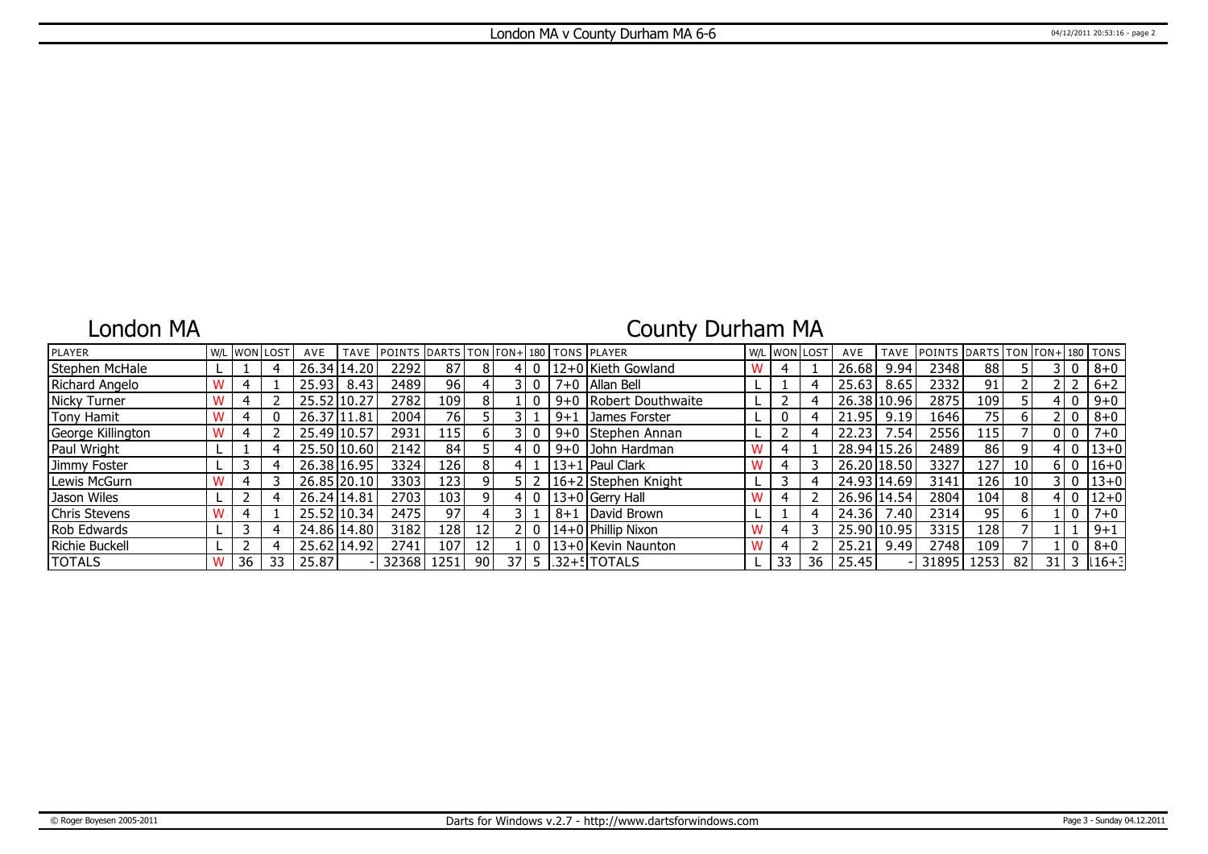### London MA

# County Durham MA

| PLAYER            |    | W/L WON LOST | AVE         | <b>TAVE</b> | <b>IPOINTS DARTS TON FON+180 TONS PLAYER</b> |      |                 |                 |              |         |                                     | W/L WON LOST |    | AVE         | <b>TAVE</b> | <b>POINTS</b> | DARTS TON TON+ 180 TONS |    |    |       |            |
|-------------------|----|--------------|-------------|-------------|----------------------------------------------|------|-----------------|-----------------|--------------|---------|-------------------------------------|--------------|----|-------------|-------------|---------------|-------------------------|----|----|-------|------------|
| Stephen McHale    |    |              |             | 26.34 14.20 | 2292                                         | 87   | 8               |                 | 0            |         | 12+0 Kieth Gowland                  | 4            |    | 26.68       | 9.94        | 2348          | 88                      |    |    |       | $8+0$      |
| Richard Angelo    |    |              | 25.93       | 8.43        | 2489                                         | 96 I |                 |                 | $\mathbf{0}$ |         | 7+0   Allan Bell                    |              |    | 25.63       | 8.65        | 2332          | 91                      |    |    |       | $6 + 2$    |
| Nicky Turner      |    |              | 25.52 10.27 |             | 2782                                         | 109  | 8.              |                 |              |         | 9+0 Robert Douthwaite               |              |    | 26.38 10.96 |             | 2875          | 109                     |    |    |       | $9 + 0$    |
| Tony Hamit        |    |              | 26.37 11.81 |             | 2004                                         | 76   |                 |                 |              | $9 + 1$ | James Forster                       |              |    | 21.95       | 9.19        | 1646          | 75                      |    |    |       | $8 + 0$    |
| George Killington |    |              | 25.49 10.57 |             | 2931                                         | 115  | 6 I             |                 |              | $9 + 0$ | Stephen Annan                       |              |    | 22.23       | .54         | 2556          | 115                     |    |    | ח ור  | $7 + 0$    |
| Paul Wright       |    |              | 25.50 10.60 |             | 2142                                         | 84   |                 | 4               |              |         | 9+0 John Hardman                    |              |    | 28.94 15.26 |             | 2489          | 86                      | 9  |    |       | $ 13+0 $   |
| Jimmy Foster      |    |              |             | 26.38 16.95 | 3324                                         | 126  | 8               |                 |              |         | 13+1   Paul Clark                   |              |    | 26.20 18.50 |             | 3327          | 127                     | 10 |    | 6 I O | $16+0$     |
| Lewis McGurn      |    |              |             | 26.85 20.10 | 3303                                         | 123  |                 |                 |              |         | 16+2 Stephen Knight                 |              | 4  | 24.93 14.69 |             | 3141          | 126                     | 10 |    |       | 3 0 13 + 0 |
| Jason Wiles       |    |              | 26.24 14.81 |             | 2703                                         | 103  |                 |                 | 0            |         | $13+0$ Gerry Hall                   |              |    | 26.96 14.54 |             | 2804          | 104                     | 8  |    |       | $ 12+0 $   |
| Chris Stevens     |    |              |             | 25.52 10.34 | 2475                                         | 97   |                 |                 |              | $8 + 1$ | David Brown                         |              | 4  | 24.36       | 7.40        | 2314          | 95                      |    |    |       | $7 + 0$    |
| Rob Edwards       |    |              |             | 24.86 14.80 | 3182                                         | 128  | 12 <sub>1</sub> |                 | $\mathbf{0}$ |         | 14+0 Phillip Nixon                  |              |    | 25.90 10.95 |             | 3315          | 128                     |    |    |       | $9 + 1$    |
| Richie Buckell    |    |              |             | 25.62 14.92 | 2741                                         | 107  | 12 <sub>1</sub> |                 |              |         | 13+0 Kevin Naunton                  |              |    | 25.21       | 9.49        | 2748          | 109                     |    |    |       | $8 + 0$    |
| <b>TOTALS</b>     | 36 | 33           | 25.87       |             | 32368                                        | 1251 | 90              | 37 <sup>1</sup> |              |         | $5$ $\lfloor 32 + 5 \rfloor$ TOTALS | 33           | 36 | 25.45       |             | 31895         | 1253                    | 82 | 31 |       | $16 + 3$   |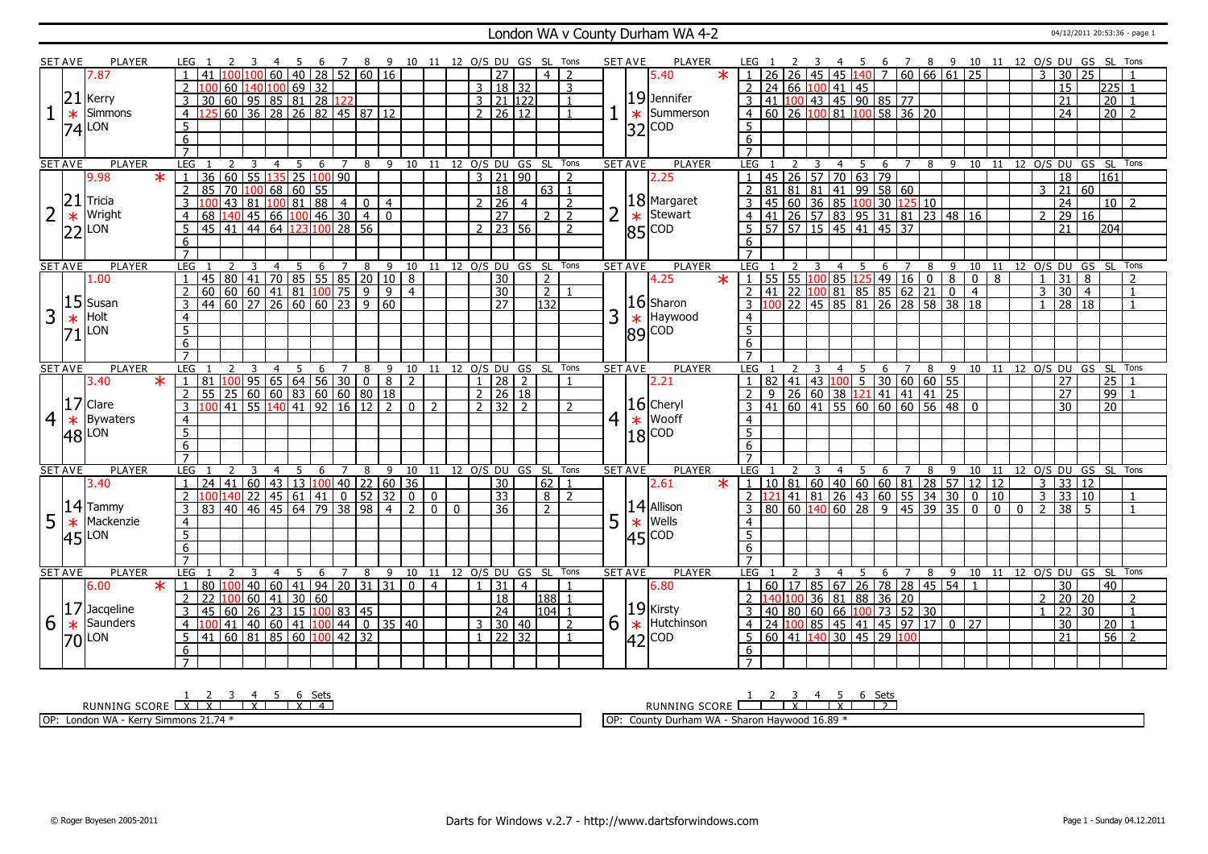#### London WA v County Durham WA 4-2 04/12/2011 20:53:36 - page 1

|   | SET AVE        | <b>PLAYER</b>    | LEG 1                        |                                                                                                |                              | -4                                                | 5    |                       |                | 6 7 8 9 10 11 12 O/S DU GS SL Tons |                                  |                              |          |          |               |                     |                      |                |                |                 | <b>SET AVE</b> | <b>PLAYER</b>            | LEG 1                                                        |                  |        |                         |                  |                                                                                                                        |         |                |                    |                |                                                      |                |              |                |                 |                 |                 |                                                                                                                                                         |
|---|----------------|------------------|------------------------------|------------------------------------------------------------------------------------------------|------------------------------|---------------------------------------------------|------|-----------------------|----------------|------------------------------------|----------------------------------|------------------------------|----------|----------|---------------|---------------------|----------------------|----------------|----------------|-----------------|----------------|--------------------------|--------------------------------------------------------------|------------------|--------|-------------------------|------------------|------------------------------------------------------------------------------------------------------------------------|---------|----------------|--------------------|----------------|------------------------------------------------------|----------------|--------------|----------------|-----------------|-----------------|-----------------|---------------------------------------------------------------------------------------------------------------------------------------------------------|
|   |                | 7.87             |                              |                                                                                                |                              | 60                                                |      |                       |                |                                    | $140$ 28 52 60 16                |                              |          |          |               | $\overline{27}$     |                      | $\overline{4}$ |                |                 |                | $\ast$<br>5.40           |                                                              |                  |        |                         |                  | 45 45 140                                                                                                              |         |                |                    |                |                                                      |                |              |                |                 |                 |                 | 4 5 6 7 8 9 10 11 12 0/5 DU GS SL Tons<br> 45   140    7    60    66    61    25    25    25    25    25    25    25    25    25    25    26    29    2 |
|   |                |                  |                              |                                                                                                |                              | 60 140 100 69 32                                  |      |                       |                |                                    |                                  |                              |          |          |               | 3   18   32         |                      |                | 3              |                 |                |                          | 2                                                            | 24 66 100 41 45  |        |                         |                  |                                                                                                                        |         |                |                    |                |                                                      |                |              |                | $\overline{15}$ |                 |                 | 225 1                                                                                                                                                   |
|   | 21             | Kerry            | $\overline{3}$               | 30                                                                                             |                              | 60   95   85   81   28                            |      |                       | 122            |                                    |                                  |                              |          |          |               | $3 \ 21 \ 122$      |                      |                |                |                 |                | $19$ Jennifer            | $\overline{3}$                                               |                  |        |                         |                  | 41 100 43 45 90 85 77                                                                                                  |         |                |                    |                |                                                      |                |              |                | 21              |                 | $\overline{20}$ |                                                                                                                                                         |
|   | $\ast$         | Simmons          | $\overline{4}$               |                                                                                                |                              | 60 36 28 26 82 45 87 12                           |      |                       |                |                                    |                                  |                              |          |          |               | 2   26   12         |                      |                |                |                 |                | $\star$ Summerson        | 4 60 26 100 81 100 58 36 20                                  |                  |        |                         |                  |                                                                                                                        |         |                |                    |                |                                                      |                |              |                | 24              |                 | 20              | $\overline{2}$                                                                                                                                          |
|   |                | LON              | 5                            |                                                                                                |                              |                                                   |      |                       |                |                                    |                                  |                              |          |          |               |                     |                      |                |                |                 |                |                          | 5                                                            |                  |        |                         |                  |                                                                                                                        |         |                |                    |                |                                                      |                |              |                |                 |                 |                 |                                                                                                                                                         |
|   | 74             |                  | 6                            |                                                                                                |                              |                                                   |      |                       |                |                                    |                                  |                              |          |          |               |                     |                      |                |                |                 | $ 32 ^{COD}$   |                          | 6                                                            |                  |        |                         |                  |                                                                                                                        |         |                |                    |                |                                                      |                |              |                |                 |                 |                 |                                                                                                                                                         |
|   |                |                  | $\overline{7}$               |                                                                                                |                              |                                                   |      |                       |                |                                    |                                  |                              |          |          |               |                     |                      |                |                |                 |                |                          |                                                              |                  |        |                         |                  |                                                                                                                        |         |                |                    |                |                                                      |                |              |                |                 |                 |                 |                                                                                                                                                         |
|   | <b>SET AVE</b> | PLAYER           | LEG                          |                                                                                                | 2<br>$\overline{\mathbf{3}}$ | $\overline{4}$                                    | $-5$ |                       | 6 7            |                                    | 8 9 10 11 12 O/S DU GS SL Tons   |                              |          |          |               |                     |                      |                |                |                 | <b>SET AVE</b> | <b>PLAYER</b>            | LEG 1                                                        |                  | 2      | $\overline{\mathbf{3}}$ |                  |                                                                                                                        |         |                |                    |                |                                                      |                |              |                |                 |                 |                 | 4 5 6 7 8 9 10 11 12 O/S DU GS SL Tons                                                                                                                  |
|   |                | $*$ 1<br>9.98    |                              | 36   60   55   135   25   100   90                                                             |                              |                                                   |      |                       |                |                                    |                                  |                              |          |          |               | $3 \mid 21 \mid 90$ |                      |                | $\overline{2}$ |                 |                | 2.25                     |                                                              |                  |        |                         |                  | 45 26 57 70 63 79                                                                                                      |         |                |                    |                |                                                      |                |              |                | $\overline{18}$ |                 | 161             |                                                                                                                                                         |
|   |                |                  | $\overline{2}$               | 85                                                                                             |                              | $\boxed{70}$ $\boxed{100}$ 68 60 55               |      |                       |                |                                    |                                  |                              |          |          |               | 18                  |                      | 63             | $\overline{1}$ |                 |                |                          |                                                              |                  |        |                         |                  | 81 81 81 41 99 58 60                                                                                                   |         |                |                    |                |                                                      |                |              |                |                 | 3   21   60     |                 |                                                                                                                                                         |
|   | 21             | Tricia           |                              |                                                                                                | 43<br> 81                    |                                                   |      | 10081884              |                | $\overline{0}$                     | $\overline{4}$                   |                              |          |          | $\mathcal{P}$ | $\overline{26}$     | $\overline{4}$       |                | $\overline{2}$ |                 |                | $ 18 $ Margaret          | $\overline{3}$                                               | 45               |        |                         |                  | 60 36 85 100 30 125 10                                                                                                 |         |                |                    |                |                                                      |                |              |                | $\overline{24}$ |                 |                 | $\overline{10}$ $\overline{2}$                                                                                                                          |
|   |                | Wright           | $\overline{4}$               |                                                                                                |                              |                                                   |      |                       |                | $\overline{4}$                     | $\overline{0}$                   |                              |          |          |               | $\overline{27}$     |                      | 2              | $\overline{2}$ |                 |                | Stewart                  |                                                              |                  |        |                         |                  |                                                                                                                        |         |                |                    |                |                                                      |                |              |                | $\overline{29}$ | 16              |                 |                                                                                                                                                         |
|   | $\ast$         | LON              | 5                            | 68 140 45 66 100 46 30 4<br>45 41 44 64 123 100 28 56                                          |                              |                                                   |      |                       |                |                                    |                                  |                              |          |          |               | $2$   23   56       |                      |                | $\overline{2}$ |                 | $\ast$         |                          | 4 41 26 57 83 95 31 81 23 48 16<br>5 57 57 57 15 45 41 45 37 |                  |        |                         |                  |                                                                                                                        |         |                |                    |                |                                                      |                |              |                | 21              |                 | l2041           |                                                                                                                                                         |
|   | 22             |                  | 6                            |                                                                                                |                              |                                                   |      |                       |                |                                    |                                  |                              |          |          |               |                     |                      |                |                |                 | $ 85 ^{COD}$   |                          |                                                              |                  |        |                         |                  |                                                                                                                        |         |                |                    |                |                                                      |                |              |                |                 |                 |                 |                                                                                                                                                         |
|   |                |                  | $\overline{7}$               |                                                                                                |                              |                                                   |      |                       |                |                                    |                                  |                              |          |          |               |                     |                      |                |                |                 |                |                          | 6<br>$\overline{7}$                                          |                  |        |                         |                  |                                                                                                                        |         |                |                    |                |                                                      |                |              |                |                 |                 |                 |                                                                                                                                                         |
|   | <b>SET AVE</b> | <b>PLAYER</b>    | <b>LEG</b>                   |                                                                                                | 3<br>2                       | $\overline{4}$                                    | 5    | $\underline{6}$       |                |                                    | 7 8 9 10 11 12 0/S DU GS SL Tons |                              |          |          |               |                     |                      |                |                |                 | <b>SET AVE</b> | <b>PLAYER</b>            | LEG                                                          |                  |        | 3                       | $4 \overline{ }$ | - 5                                                                                                                    | 6       | $\overline{7}$ | 8                  |                | $9 \t10 \t11$                                        |                |              |                |                 |                 |                 | 12 O/S DU GS SL Tons                                                                                                                                    |
|   |                | 1.00             | $\overline{1}$               | 45   80   41   70   85   55   85   20   10   8                                                 |                              |                                                   |      |                       |                |                                    |                                  |                              |          |          |               | 30                  |                      | 2              |                |                 |                | 4.25<br>$\ast$           | $\vert$ 1                                                    | 55 55 100        |        |                         |                  | 85 125                                                                                                                 | 49 16 0 |                |                    | 8              | $\mathbf{0}$                                         | 8              |              | $\overline{1}$ | 31              | 8               |                 | $\mathcal{L}$                                                                                                                                           |
|   |                |                  | <sup>2</sup>                 | 60                                                                                             |                              | 60 60 41 81 100 75                                |      |                       |                | $\overline{9}$                     |                                  | $9 \mid 4$                   |          |          |               | 30                  |                      | $\sqrt{2}$     |                |                 |                |                          | $\overline{2}$                                               | $\overline{41}$  | 22 100 |                         |                  | 81 85 85 62 21                                                                                                         |         |                |                    | $\overline{0}$ | $\overline{4}$                                       |                |              | $\overline{3}$ | 30              | $\overline{4}$  |                 | $\overline{1}$                                                                                                                                          |
|   | 15             | Susan            | $\overline{3}$               | $44 \overline{)60}$ 27 26 60 60 23 9 60                                                        |                              |                                                   |      |                       |                |                                    |                                  |                              |          |          |               | $\overline{27}$     |                      | 132            |                |                 |                | $16$ Sharon              |                                                              |                  |        |                         |                  | 100 22 45 85 81 26 28 58 38 18                                                                                         |         |                |                    |                |                                                      |                |              |                |                 | 28 18           |                 | $\overline{1}$                                                                                                                                          |
| 3 |                | Holt             | $\overline{4}$               |                                                                                                |                              |                                                   |      |                       |                |                                    |                                  |                              |          |          |               |                     |                      |                |                | 3               |                | Haywood                  |                                                              |                  |        |                         |                  |                                                                                                                        |         |                |                    |                |                                                      |                |              |                |                 |                 |                 |                                                                                                                                                         |
|   | $\ast$         | LON              | $\overline{5}$               |                                                                                                |                              |                                                   |      |                       |                |                                    |                                  |                              |          |          |               |                     |                      |                |                |                 | $\ast$         |                          | $\overline{4}$<br>$\overline{5}$                             |                  |        |                         |                  |                                                                                                                        |         |                |                    |                |                                                      |                |              |                |                 |                 |                 |                                                                                                                                                         |
|   | 71             |                  |                              |                                                                                                |                              |                                                   |      |                       |                |                                    |                                  |                              |          |          |               |                     |                      |                |                |                 | 89             | COD                      |                                                              |                  |        |                         |                  |                                                                                                                        |         |                |                    |                |                                                      |                |              |                |                 |                 |                 |                                                                                                                                                         |
|   |                |                  | 6<br>$\overline{7}$          |                                                                                                |                              |                                                   |      |                       |                |                                    |                                  |                              |          |          |               |                     |                      |                |                |                 |                |                          | 6                                                            |                  |        |                         |                  |                                                                                                                        |         |                |                    |                |                                                      |                |              |                |                 |                 |                 |                                                                                                                                                         |
|   | <b>SET AVE</b> | <b>PLAYER</b>    | <b>LEG</b>                   |                                                                                                | 3                            | $\overline{4}$                                    | 5    | 6                     | $\overline{7}$ | 8                                  |                                  | 9 10 11 12 0/S DU GS SL Tons |          |          |               |                     |                      |                |                |                 | <b>SET AVE</b> | <b>PLAYER</b>            | LEG                                                          |                  |        |                         | $\overline{4}$   | - 5                                                                                                                    | 6       | 7              |                    |                |                                                      |                |              |                |                 |                 |                 | 8 9 10 11 12 O/S DU GS SL Tons                                                                                                                          |
|   |                |                  |                              |                                                                                                |                              |                                                   |      |                       |                |                                    |                                  |                              |          |          |               |                     |                      |                |                |                 |                |                          |                                                              |                  |        |                         |                  |                                                                                                                        |         |                |                    |                |                                                      |                |              |                |                 |                 |                 |                                                                                                                                                         |
|   |                |                  |                              |                                                                                                |                              |                                                   |      |                       |                |                                    |                                  |                              |          |          |               |                     |                      |                |                |                 |                |                          |                                                              |                  |        |                         |                  |                                                                                                                        |         |                |                    |                |                                                      |                |              |                |                 |                 |                 |                                                                                                                                                         |
|   |                | $\ast$<br>3.40   | $\mathbf{1}$                 | 81                                                                                             |                              |                                                   |      |                       |                |                                    | $\boxed{8}$                      | $\overline{2}$               |          |          |               | 28                  | $\overline{2}$       |                |                |                 |                | 2.21                     |                                                              | $82$ 41 43 100 5 |        |                         |                  |                                                                                                                        |         |                | 30   60   60   55  |                |                                                      |                |              |                | $\overline{27}$ |                 | 25              |                                                                                                                                                         |
|   |                |                  | $\overline{2}$               | 55                                                                                             |                              | 100 95 65 64 56 30 0 8<br>25 60 60 83 60 60 80 18 |      |                       |                |                                    |                                  |                              |          |          |               | $2 \mid 26 \mid 18$ |                      |                | $\mathcal{D}$  |                 |                |                          |                                                              | 9                |        |                         |                  | 26 60 38 121 41 41 41 25                                                                                               |         |                |                    |                |                                                      |                |              |                | $\overline{27}$ |                 | 99              |                                                                                                                                                         |
|   | 17             | Clare            | $\overline{3}$               | $\frac{100}{41}$ 55 140 41 92 16 12 2 0 2                                                      |                              |                                                   |      |                       |                |                                    |                                  |                              |          |          |               | 213212              |                      |                |                |                 |                | $16$ Cheryl              |                                                              |                  |        |                         |                  | $41 \overline{)60} \overline{)41} \overline{)55} \overline{)60} \overline{)60} \overline{)56} \overline{)48}$          |         |                |                    |                |                                                      |                |              |                | 30              |                 | 20              |                                                                                                                                                         |
| 4 | $\ast$         | <b>Bywaters</b>  | $\overline{4}$               |                                                                                                |                              |                                                   |      |                       |                |                                    |                                  |                              |          |          |               |                     |                      |                |                | $\vert 4 \vert$ |                | $\star$ Wooff            | $\overline{4}$                                               |                  |        |                         |                  |                                                                                                                        |         |                |                    |                |                                                      |                |              |                |                 |                 |                 |                                                                                                                                                         |
|   |                | $ 48 $ LON       | 5 <sup>5</sup>               |                                                                                                |                              |                                                   |      |                       |                |                                    |                                  |                              |          |          |               |                     |                      |                |                |                 | $ 18 ^{COD}$   |                          | 5                                                            |                  |        |                         |                  |                                                                                                                        |         |                |                    |                |                                                      |                |              |                |                 |                 |                 |                                                                                                                                                         |
|   |                |                  | $6\overline{6}$              |                                                                                                |                              |                                                   |      |                       |                |                                    |                                  |                              |          |          |               |                     |                      |                |                |                 |                |                          | 6                                                            |                  |        |                         |                  |                                                                                                                        |         |                |                    |                |                                                      |                |              |                |                 |                 |                 |                                                                                                                                                         |
|   |                |                  | $\overline{7}$               |                                                                                                |                              |                                                   |      |                       |                |                                    |                                  |                              |          |          |               |                     |                      |                |                |                 |                |                          | $\overline{7}$                                               |                  |        |                         |                  |                                                                                                                        |         |                |                    |                |                                                      |                |              |                |                 |                 |                 |                                                                                                                                                         |
|   | <b>SET AVE</b> | PLAYER           | <b>LEG</b><br>$\overline{1}$ | 24                                                                                             | 3                            | $\overline{4}$                                    | - 5  | 6                     | 7              | 8                                  |                                  | 9 10 11 12 O/S DU GS SL Tons |          |          |               |                     |                      |                |                |                 | <b>SET AVE</b> | <b>PLAYER</b><br>$\star$ | LEG<br>$\overline{1}$                                        |                  |        |                         | $\overline{4}$   | - 5                                                                                                                    | 6       | $\overline{7}$ | 8                  | 9              |                                                      |                |              |                |                 | $\overline{12}$ |                 | 10 11 12 O/S DU GS SL Tons                                                                                                                              |
|   |                | 3.40             |                              |                                                                                                | $ 41\rangle$                 | $60$   43                                         |      |                       |                |                                    | 13 100 40 22 60 36               |                              |          |          |               | 30                  |                      | $62 \mid 1$    |                |                 |                | 2.61                     |                                                              |                  |        |                         |                  |                                                                                                                        |         |                |                    |                | 10   81   60   40   60   60   81   28   57   12   12 |                |              |                | $3 \mid 33$     |                 |                 |                                                                                                                                                         |
|   |                | Tammy            | $\overline{2}$               | 100 140 22                                                                                     |                              |                                                   |      | $45 \ 61 \ 41$        | $\overline{0}$ |                                    | 52   32   0   0                  |                              |          |          |               | $\overline{33}$     |                      | $8 \mid 2$     |                |                 |                |                          | 2 121                                                        |                  |        |                         |                  | $\frac{1}{1}$ $\frac{1}{81}$ $\frac{1}{26}$ $\frac{1}{43}$ $\frac{1}{60}$ $\frac{1}{55}$ $\frac{1}{34}$ $\frac{1}{30}$ |         |                |                    |                | $\overline{0}$                                       | $ 10\rangle$   |              |                |                 | 3   33   10     |                 | $\overline{1}$                                                                                                                                          |
|   | 14             |                  | $\overline{3}$               | 83 40 46                                                                                       |                              |                                                   |      | $145 \mid 64 \mid 79$ |                | 38 98                              | 4 <sup>1</sup>                   | $\overline{2}$               | $\Omega$ | $\Omega$ |               | 36                  |                      | $\overline{2}$ |                |                 |                | $14$ Allison             |                                                              |                  |        |                         |                  | 80   60   140   60   28   9                                                                                            |         |                | $\boxed{45}$ 39 35 |                | $\overline{\phantom{0}}$                             | $\overline{0}$ | $\mathbf{0}$ | 2              |                 | $38 \mid 5$     |                 |                                                                                                                                                         |
| 5 | $\ast$         | Mackenzie        | $\overline{4}$               |                                                                                                |                              |                                                   |      |                       |                |                                    |                                  |                              |          |          |               |                     |                      |                |                | 5               | $\ast$         | Wells                    |                                                              |                  |        |                         |                  |                                                                                                                        |         |                |                    |                |                                                      |                |              |                |                 |                 |                 |                                                                                                                                                         |
|   | 45             | LON              | $\overline{5}$               |                                                                                                |                              |                                                   |      |                       |                |                                    |                                  |                              |          |          |               |                     |                      |                |                |                 | $ 45 ^{COD}$   |                          | 5                                                            |                  |        |                         |                  |                                                                                                                        |         |                |                    |                |                                                      |                |              |                |                 |                 |                 |                                                                                                                                                         |
|   |                |                  | 6                            |                                                                                                |                              |                                                   |      |                       |                |                                    |                                  |                              |          |          |               |                     |                      |                |                |                 |                |                          | 6                                                            |                  |        |                         |                  |                                                                                                                        |         |                |                    |                |                                                      |                |              |                |                 |                 |                 |                                                                                                                                                         |
|   |                |                  | $\overline{7}$               |                                                                                                |                              |                                                   |      |                       |                |                                    |                                  |                              |          |          |               |                     |                      |                |                |                 |                |                          |                                                              |                  |        |                         |                  |                                                                                                                        |         |                |                    |                |                                                      |                |              |                |                 |                 |                 |                                                                                                                                                         |
|   | <b>SET AVE</b> | <b>PLAYER</b>    | <b>LEG</b>                   |                                                                                                |                              | $\overline{4}$                                    | .5   | 6                     | $\overline{7}$ | 8                                  | 9                                | 10                           | 11       |          |               |                     | 12 O/S DU GS SL Tons |                |                |                 | <b>SET AVE</b> | <b>PLAYER</b>            | LEG                                                          |                  |        |                         |                  | -5                                                                                                                     | 6       | $\overline{7}$ | 8                  | 9              | 10                                                   |                |              |                |                 |                 |                 | 11 12 0/S DU GS SL Tons                                                                                                                                 |
|   |                | $\ast$<br>6.00   | $\overline{1}$               | 80 100 40 60 41 94 20 31 31 0 4                                                                |                              |                                                   |      |                       |                |                                    |                                  |                              |          |          |               | $1 \mid 31 \mid 4$  |                      |                |                |                 |                | 6.80                     | $\overline{1}$                                               |                  |        |                         |                  | 60   17   85   67   26   78   28   45   54   1                                                                         |         |                |                    |                |                                                      |                |              |                | $\overline{30}$ |                 | 40 l            |                                                                                                                                                         |
|   |                |                  | 2                            | 22                                                                                             | 100 60                       | $ 41\rangle$                                      |      | 30 60                 |                |                                    |                                  |                              |          |          |               | 18                  |                      | 188            | $\overline{1}$ |                 |                |                          |                                                              |                  |        |                         |                  |                                                                                                                        |         |                |                    |                |                                                      |                |              | 2              |                 | $20 \mid 20$    |                 | $\mathcal{P}$                                                                                                                                           |
|   |                | $ 17 $ Jacqeline | $\overline{3}$               | 45<br>  60                                                                                     |                              | $26$ $23$ $15$ $100$ 83 45                        |      |                       |                |                                    |                                  |                              |          |          |               | $\overline{24}$     |                      | $ 104 $ 1      |                |                 |                | $ 19 $ Kirsty            | 3                                                            |                  |        |                         |                  | 140 100 36 81 88 36 20<br>40 80 60 66 100 73 52 30                                                                     |         |                |                    |                |                                                      |                |              |                | $\overline{22}$ | $\overline{30}$ |                 | $\overline{1}$                                                                                                                                          |
| 6 | $\ast$         | Saunders         | $\overline{4}$               |                                                                                                | 41                           | 40   60   41   <mark>100</mark>   44              |      |                       |                |                                    | $0 \ 35 \ 40$                    |                              |          |          |               | $3 \mid 30 \mid 40$ |                      |                | 2              | 6               | $\ast$         | Hutchinson               | $\overline{4}$                                               |                  |        |                         |                  | 24 100 85 45 41 45 97 17 0 27                                                                                          |         |                |                    |                |                                                      |                |              |                | $\overline{30}$ |                 |                 | $\overline{20}$ 1                                                                                                                                       |
|   |                | $70$ LON         | 5                            | $41 \overline{)60} \overline{)81} \overline{)85} \overline{)60} \overline{)42} \overline{)32}$ |                              |                                                   |      |                       |                |                                    |                                  |                              |          |          |               | $1 \ 22 \ 32$       |                      |                | $\overline{1}$ |                 | $ 42 ^{COD}$   |                          | -5                                                           |                  |        |                         |                  | $\boxed{60}$ 41 140 30 45 29 100                                                                                       |         |                |                    |                |                                                      |                |              |                | $\overline{21}$ |                 |                 | $56$   2                                                                                                                                                |
|   |                |                  | 6<br>$\overline{7}$          |                                                                                                |                              |                                                   |      |                       |                |                                    |                                  |                              |          |          |               |                     |                      |                |                |                 |                |                          | 6                                                            |                  |        |                         |                  |                                                                                                                        |         |                |                    |                |                                                      |                |              |                |                 |                 |                 |                                                                                                                                                         |

RUNNING SCORE <u>| X | X | X | X | 4</u><br>RUNNING SCORE <u>| X | X | X | X | 4</u>

OP: London WA - Kerry Simmons 21.74 \*

RUNNING SCORE 1 2 3 X 4 5 X 6 Sets 2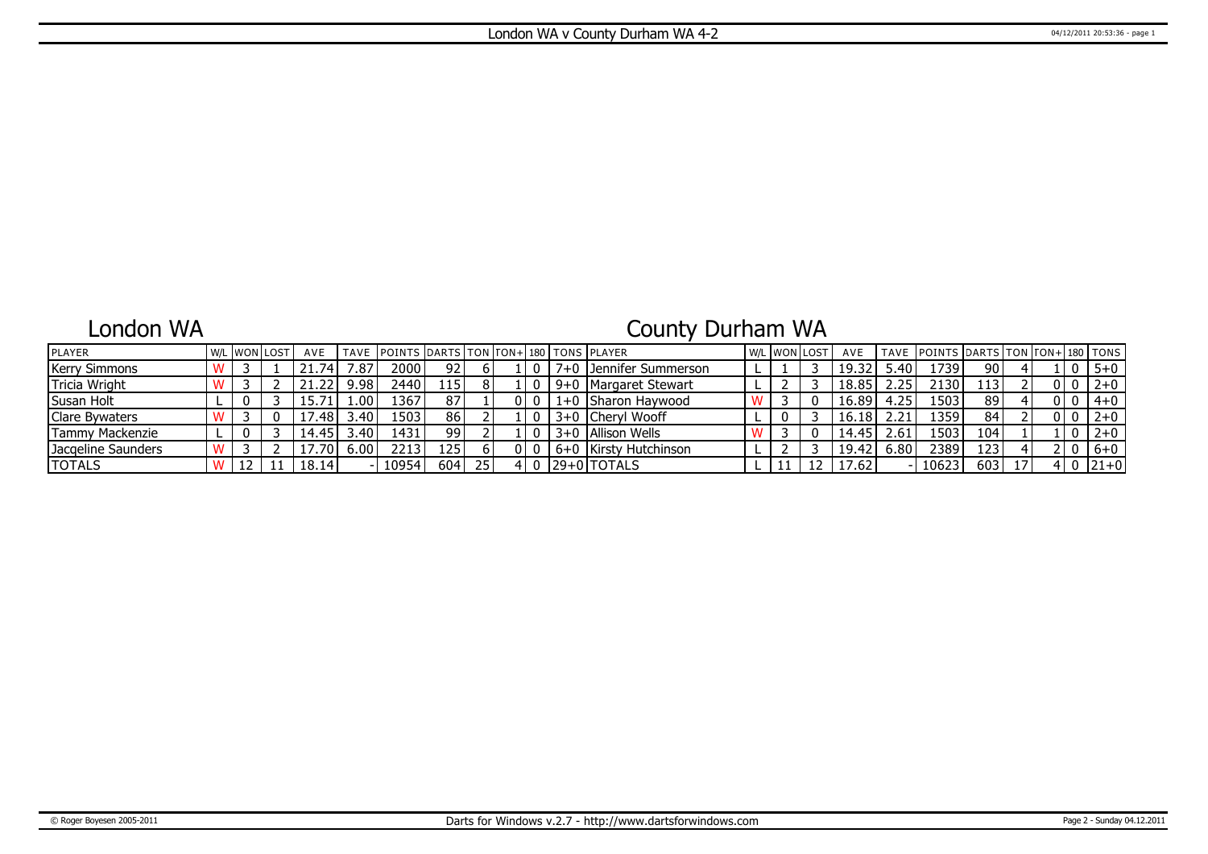### London WA

# County Durham WA

| <b>IPLAYER</b>       |  | l w/l IwonTlost | AVE   |       | TAVE POINTS DARTS TON FON+180 TONS PLAYER |       |    |  |                          |  | <b>W/L WON LOST</b> | AVE   |      | TAVE POINTS DARTS TON TON+ 180 TONS |                  |    |  |         |
|----------------------|--|-----------------|-------|-------|-------------------------------------------|-------|----|--|--------------------------|--|---------------------|-------|------|-------------------------------------|------------------|----|--|---------|
| <b>Kerry Simmons</b> |  |                 | 21.74 | .87   | 20001                                     | 92 I  |    |  | 7+0   Jennifer Summerson |  |                     | 19.32 | 5.40 | 1739                                | 90               |    |  | $5 + 0$ |
| Tricia Wright        |  |                 | 21.22 | 9.98  | 2440                                      | 115 I |    |  | 9+0   Margaret Stewart   |  |                     | 18.85 | 2.25 | 2130                                | 113 <sup>1</sup> |    |  | $2 + 0$ |
| Susan Holt           |  |                 |       | .00   | .367                                      | 87    |    |  | 1+0 Sharon Haywood       |  |                     | 16.89 | 4.25 | 1503                                | 89               |    |  | 4+0     |
| Clare Bywaters       |  |                 | .481  | 3.40' | 1503                                      | 86    |    |  | 3+0 Cheryl Wooff         |  |                     | 16.18 |      | 1359                                | 84               |    |  | $2 + 0$ |
| Tammy Mackenzie      |  |                 | 14.45 | 3.40' | 1431                                      | 99    |    |  | 3+0   Allison Wells      |  |                     | 14.45 | 2.61 | 1503                                | 104              |    |  | $2 + 0$ |
| Jacgeline Saunders   |  |                 | 1/701 | 6.00  | 2213                                      | 125'  |    |  | 6+0 Kirsty Hutchinson    |  |                     | 19.42 | 6.80 | 2389                                | 123!             |    |  | $6+0$   |
| <b>TOTALS</b>        |  |                 | 18.14 |       | 10954                                     | 604   | 25 |  | 129+01TOTALS             |  |                     | 17.62 |      | 10623                               | 603              | 17 |  | 121+0   |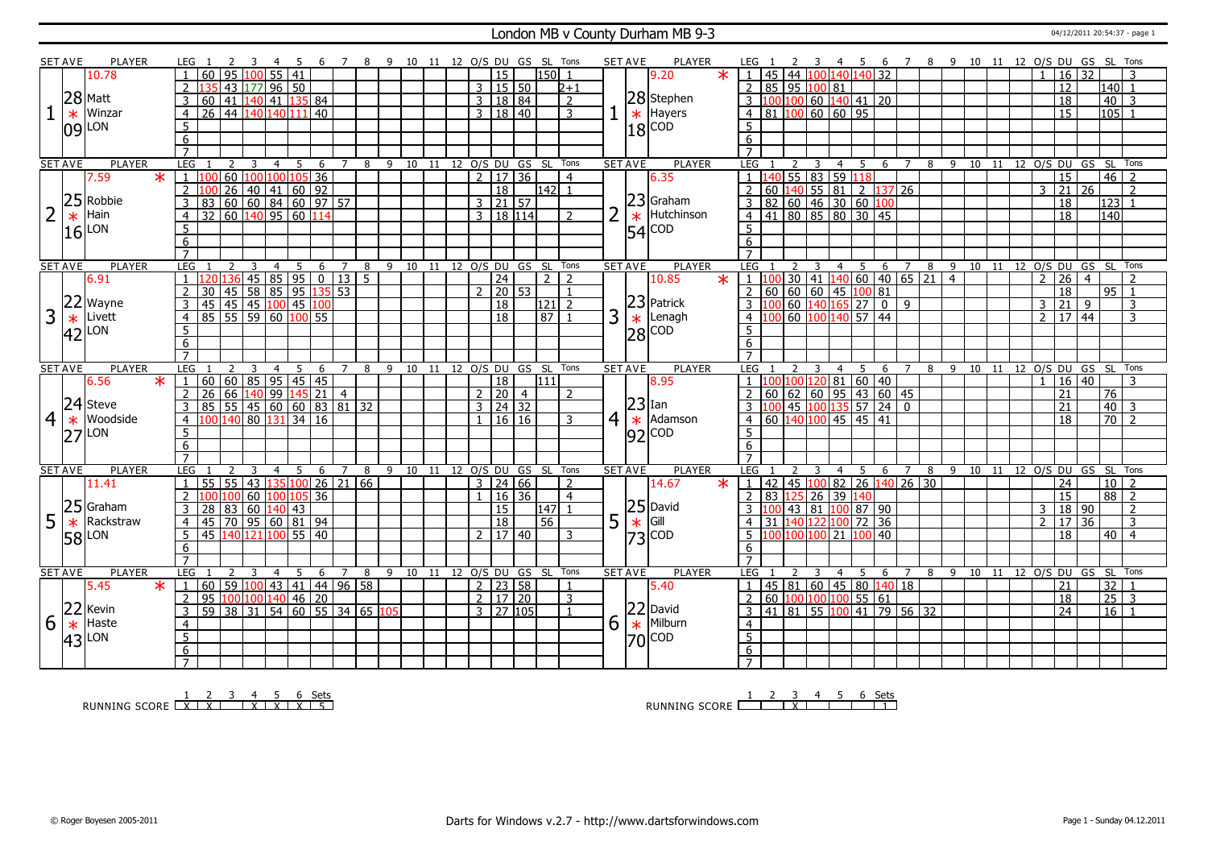#### London MB v County Durham MB 9-3 04/12/2011 20:54:37 - page 1

|                | <b>SET AVE</b> | PLAYER            | LEG 1                          | -2<br>$\mathbf{3}$<br>-4                                                         | - 5             |                  |                       | 6 7 8 9 10 11 12 O/S DU GS SL Tons |                              |                |                      |                |                |   | <b>SET AVE</b><br>PLAYER                               | LEG 1                                                                                                         |         |                                                      |                |       |                          |   | 2 3 4 5 6 7 8 9 10 11 12 O/S DU GS SL Tons |  |                |                 |                |                                |                |
|----------------|----------------|-------------------|--------------------------------|----------------------------------------------------------------------------------|-----------------|------------------|-----------------------|------------------------------------|------------------------------|----------------|----------------------|----------------|----------------|---|--------------------------------------------------------|---------------------------------------------------------------------------------------------------------------|---------|------------------------------------------------------|----------------|-------|--------------------------|---|--------------------------------------------|--|----------------|-----------------|----------------|--------------------------------|----------------|
|                |                | 10.78             | 60                             | 95<br>1 በበ<br>55                                                                 | $\overline{41}$ |                  |                       |                                    |                              |                | 15                   |                | 150            |   | 9.20<br>$\star$                                        | $\overline{1}$                                                                                                |         | 45 44 100 140 140 32                                 |                |       |                          |   |                                            |  |                | 16              | 32.            |                                |                |
|                |                |                   | $\overline{2}$                 | $177$ 96 50<br>43                                                                |                 |                  |                       |                                    |                              |                | 3   15   50          |                | $2 + 1$        |   |                                                        | $\overline{2}$                                                                                                |         | 85 95 100 81                                         |                |       |                          |   |                                            |  |                | 12              |                | 140 l<br>$\overline{1}$        |                |
|                |                | $28$ Matt         | $\overline{3}$<br>60           | $\overline{41}$<br>$140$ 41                                                      | 135             | $\sqrt{84}$      |                       |                                    |                              |                | 3   18   84          |                | 2              |   | 28 Stephen                                             | $3 \mid 100 \mid 100 \mid 60 \mid 140 \mid 41 \mid 20$                                                        |         |                                                      |                |       |                          |   |                                            |  |                | $\overline{18}$ |                | 40                             | 3              |
|                | $\ast$         | Winzar            | $\overline{4}$                 | 26 44 140 140 111                                                                |                 | $\overline{140}$ |                       |                                    |                              |                | $3 \mid 18 \mid 40$  |                | $\overline{3}$ |   | $\star$ Hayers                                         | 81 100 60 60 95<br>$\overline{4}$                                                                             |         |                                                      |                |       |                          |   |                                            |  |                | $\overline{15}$ |                | $105$   1                      |                |
|                |                |                   | 5                              |                                                                                  |                 |                  |                       |                                    |                              |                |                      |                |                |   |                                                        | 5                                                                                                             |         |                                                      |                |       |                          |   |                                            |  |                |                 |                |                                |                |
|                |                | $ 09 $ LON        | $\overline{6}$                 |                                                                                  |                 |                  |                       |                                    |                              |                |                      |                |                |   | $18$ $\frac{\text{C}^{\text{C}}}{\text{C}^{\text{C}}}$ | $\overline{6}$                                                                                                |         |                                                      |                |       |                          |   |                                            |  |                |                 |                |                                |                |
|                |                |                   | $\overline{7}$                 |                                                                                  |                 |                  |                       |                                    |                              |                |                      |                |                |   |                                                        |                                                                                                               |         |                                                      |                |       |                          |   |                                            |  |                |                 |                |                                |                |
|                | <b>SET AVE</b> | PLAYER            | LEG                            | $\overline{\mathbf{3}}$<br>2<br>$\overline{4}$                                   | 5               | - 6              |                       | 7 8 9 10 11 12 0/S DU GS SL Tons   |                              |                |                      |                |                |   | <b>PLAYER</b><br><b>SET AVE</b>                        | LEG 1                                                                                                         |         | $\overline{\mathbf{3}}$                              |                |       |                          |   | 4 5 6 7 8 9 10 11 12 O/S DU GS SL Tons     |  |                |                 |                |                                |                |
|                |                | 7.59<br>$\ast$    | $\overline{1}$                 | 60 100 100 105 36                                                                |                 |                  |                       |                                    |                              | 2 <sup>1</sup> | 17 36                |                | $\overline{4}$ |   | 6.35                                                   |                                                                                                               |         | 55 83 59 118                                         |                |       |                          |   |                                            |  |                | $\overline{15}$ |                | 46                             | $\overline{2}$ |
|                |                |                   | $\overline{2}$                 | 26<br>40 41 60 92                                                                |                 |                  |                       |                                    |                              |                | $\overline{18}$      |                | l142l 1        |   |                                                        |                                                                                                               |         | $60$ 140 55 81                                       | $\overline{2}$ | 137   | $\overline{26}$          |   |                                            |  | 3              | $\overline{21}$ | 26             |                                | $\overline{2}$ |
|                | 25             | Robbie            | 3                              |                                                                                  |                 |                  |                       |                                    |                              |                | $3 \ 21 \ 57$        |                |                |   | 23 Graham                                              | $\overline{3}$                                                                                                |         |                                                      |                |       |                          |   |                                            |  |                | 18              |                | $\overline{123}$               |                |
| $\overline{2}$ |                | Hain              |                                |                                                                                  |                 |                  |                       |                                    |                              |                | 3   18   114         |                | $\overline{2}$ |   | Hutchinson                                             | 82 60 46 30 60 100<br>$\overline{4}$                                                                          |         |                                                      |                |       |                          |   |                                            |  |                | $\overline{18}$ |                | 140 l                          |                |
|                | $\ast$         |                   | $\overline{4}$                 |                                                                                  |                 |                  |                       |                                    |                              |                |                      |                |                |   | $\ast$                                                 |                                                                                                               |         |                                                      |                |       |                          |   |                                            |  |                |                 |                |                                |                |
|                | 16             | LON               | -5                             |                                                                                  |                 |                  |                       |                                    |                              |                |                      |                |                |   | <b>COD</b><br> 54                                      | $5^{\circ}$                                                                                                   |         |                                                      |                |       |                          |   |                                            |  |                |                 |                |                                |                |
|                |                |                   | 6                              |                                                                                  |                 |                  |                       |                                    |                              |                |                      |                |                |   |                                                        | 6                                                                                                             |         |                                                      |                |       |                          |   |                                            |  |                |                 |                |                                |                |
|                |                |                   | $\overline{7}$                 |                                                                                  |                 |                  |                       |                                    |                              |                |                      |                |                |   |                                                        | $\overline{7}$                                                                                                |         |                                                      |                |       |                          |   |                                            |  |                |                 |                |                                |                |
|                | <b>SET AVE</b> | PLAYER            | LEG                            | 3<br>$\overline{4}$                                                              | 5               | 6                | $7^{\circ}$<br>8      |                                    | 9 10 11 12 0/S DU GS SL Tons |                |                      |                |                |   | <b>SET AVE</b><br><b>PLAYER</b>                        | <b>LEG</b>                                                                                                    |         | 3<br>$\overline{4}$                                  |                |       | $5\quad 6\quad 7\quad 8$ |   | 9 10 11 12 0/S DU GS SL                    |  |                |                 |                |                                | Tons           |
|                |                | 6.91              | $\overline{1}$                 | 45 85 95 0                                                                       |                 |                  | 13 <br>5 <sup>1</sup> |                                    |                              |                | 24                   |                | 212            |   | 10.85<br>$\ast$                                        | 11100                                                                                                         |         | 30   41   140   60   40   65   21   4                |                |       |                          |   |                                            |  | $\overline{2}$ | 26              | $\overline{4}$ |                                | $\mathcal{L}$  |
|                | 22             |                   | $\overline{2}$<br>30           | 58 85 95<br>45                                                                   |                 | 135              | 53                    |                                    |                              |                | $2$ 20 53            |                | $\overline{1}$ |   |                                                        | 2                                                                                                             |         | 60 60 60 45 100 81                                   |                |       |                          |   |                                            |  |                | 18              |                | 95 <br>$\overline{1}$          |                |
|                |                | Wayne             | 3<br>45                        | $\frac{1}{45}$ $\frac{1}{45}$ $\frac{1}{100}$ $\frac{45}{100}$                   |                 |                  |                       |                                    |                              |                | 18                   |                | $ 121 $ 2      |   | $ 23 $ Patrick                                         | $\vert 100 \vert 60 \vert 140 \vert 165 \vert 27 \vert 0 \vert 9$                                             |         |                                                      |                |       |                          |   |                                            |  |                | $3 \mid 21$     | 9              |                                | 3              |
| 3              |                | Livett            | $\overline{4}$                 | 85 55 59 60 100 55                                                               |                 |                  |                       |                                    |                              |                | $\overline{18}$      |                | 87             | 3 | Lenagh                                                 | 4                                                                                                             |         | 60 100 140 57 44                                     |                |       |                          |   |                                            |  | 2 <sup>1</sup> | 17 44           |                |                                | 3              |
|                | $*$ 42         | LON               | 5                              |                                                                                  |                 |                  |                       |                                    |                              |                |                      |                |                |   | $\frac{1}{28}$ Lenag                                   |                                                                                                               |         |                                                      |                |       |                          |   |                                            |  |                |                 |                |                                |                |
|                |                |                   | 6                              |                                                                                  |                 |                  |                       |                                    |                              |                |                      |                |                |   |                                                        | 6                                                                                                             |         |                                                      |                |       |                          |   |                                            |  |                |                 |                |                                |                |
|                |                |                   | $\overline{7}$                 |                                                                                  |                 |                  |                       |                                    |                              |                |                      |                |                |   |                                                        |                                                                                                               |         |                                                      |                |       |                          |   |                                            |  |                |                 |                |                                |                |
|                |                |                   |                                |                                                                                  |                 |                  |                       |                                    |                              |                |                      |                |                |   |                                                        |                                                                                                               |         |                                                      |                |       |                          |   |                                            |  |                |                 |                |                                |                |
|                | <b>SET AVE</b> | <b>PLAYER</b>     | <b>LEG</b>                     | $\overline{2}$<br>3<br>4                                                         | 5               | 6                | 8<br>7                | 9                                  | 10 11 12 O/S DU GS SL Tons   |                |                      |                |                |   | <b>SET AVE</b><br><b>PLAYER</b>                        | <b>LEG</b>                                                                                                    |         | 4                                                    | 5              | 6     | $\overline{7}$           |   | 8 9 10 11 12 0/S DU GS SL                  |  |                |                 |                |                                | Tons           |
|                |                | $\ast$<br>6.56    | $\mathbf{1}$                   |                                                                                  |                 |                  |                       |                                    |                              |                | 18                   |                | 111            |   | 8.95                                                   |                                                                                                               |         |                                                      |                |       |                          |   |                                            |  |                | 16              | 40             |                                |                |
|                |                |                   | 2                              | 60   60   85   95   45   45  <br>  26   66   140   99   145   21                 |                 |                  | $-4$                  |                                    |                              |                | 2 20                 | $\overline{4}$ | $\overline{2}$ |   |                                                        | $\overline{z}$                                                                                                |         | 100 100 120 81 60 40<br>60 62 60 95 43 60 45         |                |       |                          |   |                                            |  |                | 21              |                | 76                             |                |
|                |                | $ 24 $ Steve      | $\overline{3}$                 |                                                                                  |                 |                  |                       |                                    |                              |                | $3 \mid 24 \mid 32$  |                |                |   | $ 23 $ Ian                                             | 3                                                                                                             |         | $\frac{1}{45}$ $\frac{100}{135}$ 57 24 0             |                |       |                          |   |                                            |  |                | 21              |                | 40                             | 3              |
| $\overline{4}$ | $\ast$         | Woodside          | $\overline{4}$                 | $\boxed{100}$ $\boxed{140}$ $\boxed{80}$ $\boxed{131}$ $\boxed{34}$ $\boxed{16}$ |                 |                  |                       |                                    |                              |                | $1 \mid 16 \mid 16$  |                | $\mathbf{R}$   |   | $4 \times$ Adamson                                     | 4   60   140   100   45   45   41                                                                             |         |                                                      |                |       |                          |   |                                            |  |                | 18              |                | $\overline{70}$ $\overline{2}$ |                |
|                |                | LON               | 5                              |                                                                                  |                 |                  |                       |                                    |                              |                |                      |                |                |   |                                                        | 5                                                                                                             |         |                                                      |                |       |                          |   |                                            |  |                |                 |                |                                |                |
|                | 27             |                   | 6                              |                                                                                  |                 |                  |                       |                                    |                              |                |                      |                |                |   | $ 92 ^{COD}$                                           | $6\overline{6}$                                                                                               |         |                                                      |                |       |                          |   |                                            |  |                |                 |                |                                |                |
|                |                |                   | $\overline{7}$                 |                                                                                  |                 |                  |                       |                                    |                              |                |                      |                |                |   |                                                        |                                                                                                               |         |                                                      |                |       |                          |   |                                            |  |                |                 |                |                                |                |
|                | <b>SET AVE</b> | PLAYER            | <b>LEG</b>                     | 3<br>$\overline{4}$                                                              | 5               | - 6              | $\overline{7}$<br>8   | 9 10 11 12 0/S DU GS SL Tons       |                              |                |                      |                |                |   | <b>PLAYER</b><br><b>SET AVE</b>                        | LEG 1                                                                                                         |         | 3<br>$\overline{4}$                                  | $5^{\circ}$    |       |                          |   | 6 7 8 9 10 11 12 0/S DU GS SL Tons         |  |                |                 |                |                                |                |
|                |                | 11.41             | $\overline{1}$<br>55           | 43   135   100   26   21   66<br>$\overline{55}$                                 |                 |                  |                       |                                    |                              |                | $3 \mid 24 \mid 66$  |                | 2              |   | 14.67<br>$\star$                                       | $\mathsf{L}$                                                                                                  |         | 42 45 100 82 26 140 26 30                            |                |       |                          |   |                                            |  |                | 24              |                | 10 <sup>2</sup>                |                |
|                |                |                   |                                | 100 100 60 100 105 36                                                            |                 |                  |                       |                                    |                              |                | 1   16   36          |                | $\overline{4}$ |   |                                                        |                                                                                                               |         | 83 125 26 39                                         | 140            |       |                          |   |                                            |  |                | 15              |                | 88                             | $\overline{z}$ |
|                | 25             | Graham            | $\overline{3}$<br>28 83        | 60                                                                               | $140$ 43        |                  |                       |                                    |                              |                | 15                   |                | 147            |   |                                                        |                                                                                                               | 43 81   |                                                      | 100 87 90      |       |                          |   |                                            |  | 3              | 18 90           |                |                                | $\overline{2}$ |
| 5              | $\ast$         | Rackstraw         | 4                              | $145$ 70 95 60 81 94                                                             |                 |                  |                       |                                    |                              |                | 18                   |                | 56             | 5 |                                                        |                                                                                                               |         |                                                      |                | 72 36 |                          |   |                                            |  | $\mathcal{P}$  | 17              | 36             |                                | $\overline{3}$ |
|                |                | LON               | 5                              | 45 140 121 100 55 40                                                             |                 |                  |                       |                                    |                              |                | 2 17 40              |                | 3              |   | $\begin{array}{c} 25 \\ \times \end{array}$ Gill       |                                                                                                               | 100 100 | 21                                                   | 100            | 40    |                          |   |                                            |  |                | $\overline{18}$ |                | 40 l                           | $\overline{4}$ |
|                | 58             |                   | 6                              |                                                                                  |                 |                  |                       |                                    |                              |                |                      |                |                |   | $73$ COD                                               | 6                                                                                                             |         |                                                      |                |       |                          |   |                                            |  |                |                 |                |                                |                |
|                |                |                   | $\overline{7}$                 |                                                                                  |                 |                  |                       |                                    |                              |                |                      |                |                |   |                                                        | $\overline{7}$                                                                                                |         |                                                      |                |       |                          |   |                                            |  |                |                 |                |                                |                |
|                | <b>SET AVE</b> | PLAYER            | <b>LEG</b>                     | 3<br>$\mathcal{L}$<br>$\overline{4}$                                             | -5              | -6               | 7<br>8                |                                    | 9 10 11 12 0/S DU GS SL Tons |                |                      |                |                |   | <b>SET AVE</b><br><b>PLAYER</b>                        | LEG                                                                                                           |         | 3<br>4                                               | -5             | -6    | $\overline{7}$           | 8 | 9 10 11 12 0/S DU GS SL Tons               |  |                |                 |                |                                |                |
|                |                | $\star$ 1<br>5.45 | 60                             | 59   100   43   41   44   96   58                                                |                 |                  |                       |                                    |                              |                | $2 \mid 23 \mid 58$  |                | $\mathbf{1}$   |   | 5.40                                                   | $\overline{1}$                                                                                                |         | 45 81 60 45 80 140 18                                |                |       |                          |   |                                            |  |                | 21              |                | 32                             |                |
|                |                |                   | 2                              |                                                                                  |                 |                  |                       |                                    |                              |                | 2   17   20          |                | 3              |   |                                                        | $\mathcal{L}$                                                                                                 |         | $60 \big  100 \big  100 \big  100 \big  55 \big  61$ |                |       |                          |   |                                            |  |                | $\overline{18}$ |                | $\overline{25}$                | $\overline{3}$ |
|                |                | Kevin             | $\overline{3}$                 | 95 100 100 140 46 20<br>59 38 31 54 60 55 34 65 105                              |                 |                  |                       |                                    |                              |                | $3 \mid 27 \mid 105$ |                | $\mathbf{1}$   |   |                                                        | $\boxed{41}$ $\boxed{81}$ $\boxed{55}$ $\boxed{100}$ $\boxed{41}$ $\boxed{79}$ $\boxed{56}$ $\boxed{32}$<br>3 |         |                                                      |                |       |                          |   |                                            |  |                | $\overline{24}$ |                | $16$ $1$                       |                |
|                | 22             | Haste             | $\overline{4}$                 |                                                                                  |                 |                  |                       |                                    |                              |                |                      |                |                |   | Milburn                                                | $\overline{4}$                                                                                                |         |                                                      |                |       |                          |   |                                            |  |                |                 |                |                                |                |
| 6              | $\ast$         |                   |                                |                                                                                  |                 |                  |                       |                                    |                              |                |                      |                |                | 6 | $22$ David<br>$*$ Milburr                              |                                                                                                               |         |                                                      |                |       |                          |   |                                            |  |                |                 |                |                                |                |
|                | 43             | LON               | $\overline{5}$                 |                                                                                  |                 |                  |                       |                                    |                              |                |                      |                |                |   | $ 70 $ COD                                             | $\overline{5}$                                                                                                |         |                                                      |                |       |                          |   |                                            |  |                |                 |                |                                |                |
|                |                |                   | $6\overline{6}$<br>$7^{\circ}$ |                                                                                  |                 |                  |                       |                                    |                              |                |                      |                |                |   |                                                        | 6<br>$\overline{7}$                                                                                           |         |                                                      |                |       |                          |   |                                            |  |                |                 |                |                                |                |

RUNNING SCORE 1 X 2 X 3 4 X 5 X 6 X Sets 5

RUNNING SCORE 1 2 3 X 4 5 6 Sets 1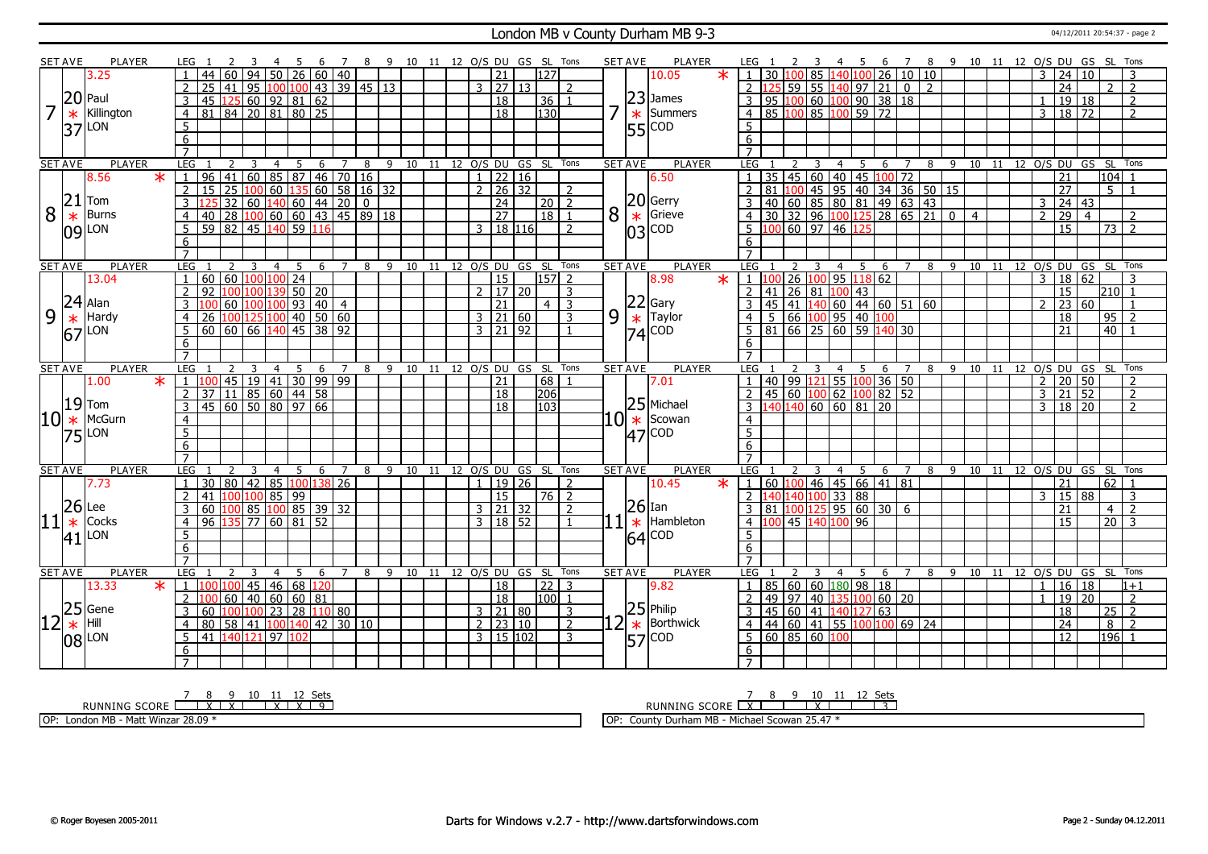#### London MB v County Durham MB 9-3 04/12/2011 20:54:37 - page 2

|    | SET AVE         | PLAYER                   | LEG                              |                                                                                                             |                |                         | -4                                                                            |      |       |                |   | - 9 |    |  |                                             | 10 11 12 O/S DU GS SL Tons         |                     | <b>SET AVE</b>   |      | <b>PLAYER</b>                                         |        | LEG                                           |              |                    |                    |                                                                                                                                            | 6        | 7              |           |    | 8 9 10 11 12 O/S DU GS SL |  |                 |                     |                 |                 |                                        |  |
|----|-----------------|--------------------------|----------------------------------|-------------------------------------------------------------------------------------------------------------|----------------|-------------------------|-------------------------------------------------------------------------------|------|-------|----------------|---|-----|----|--|---------------------------------------------|------------------------------------|---------------------|------------------|------|-------------------------------------------------------|--------|-----------------------------------------------|--------------|--------------------|--------------------|--------------------------------------------------------------------------------------------------------------------------------------------|----------|----------------|-----------|----|---------------------------|--|-----------------|---------------------|-----------------|-----------------|----------------------------------------|--|
|    |                 | 3.25                     |                                  | 44                                                                                                          | 60             | 94                      | 50                                                                            |      | 26 60 | 40             |   |     |    |  | 21                                          | 127                                |                     |                  |      | 10.05                                                 | $\ast$ | 30                                            |              |                    |                    | 140 100                                                                                                                                    | 26 10 10 |                |           |    |                           |  | 3               | $\overline{24}$     | 10              |                 | 3                                      |  |
|    |                 |                          | $\overline{2}$                   | $\overline{25}$                                                                                             | 41             |                         | 95 100 100 43 39 45 13                                                        |      |       |                |   |     |    |  | 3   27   13                                 |                                    | 2                   |                  |      |                                                       |        | $\overline{2}$                                |              |                    |                    | 59 55 140 97 21                                                                                                                            |          | $\overline{0}$ | $\vert$ 2 |    |                           |  |                 | $\overline{24}$     |                 | $\mathcal{P}$   | $\overline{2}$                         |  |
|    |                 | $20$ Paul                | $\overline{3}$                   | 45 125 60 92 81 62                                                                                          |                |                         |                                                                               |      |       |                |   |     |    |  | $\overline{18}$                             | 36                                 |                     |                  |      | $23$ James                                            |        | $\overline{3}$<br>$\overline{95}$             |              |                    |                    | $100$ 60 $100$ 90 38 18                                                                                                                    |          |                |           |    |                           |  |                 |                     | 19 18           |                 | $\overline{2}$                         |  |
|    | $\ast$          | Killington               | $\overline{4}$                   | 81 84 20 81 80 25                                                                                           |                |                         |                                                                               |      |       |                |   |     |    |  | 18                                          | $\overline{130}$                   |                     |                  |      | $\ast$<br>Summers                                     |        | $\overline{4}$                                |              |                    |                    | 85 100 85 100 59 72                                                                                                                        |          |                |           |    |                           |  |                 | 3   18   72         |                 |                 | $\overline{2}$                         |  |
|    |                 | LON                      | 5                                |                                                                                                             |                |                         |                                                                               |      |       |                |   |     |    |  |                                             |                                    |                     |                  |      | 55 COD                                                |        | 5                                             |              |                    |                    |                                                                                                                                            |          |                |           |    |                           |  |                 |                     |                 |                 |                                        |  |
|    | 37              |                          | 6                                |                                                                                                             |                |                         |                                                                               |      |       |                |   |     |    |  |                                             |                                    |                     |                  |      |                                                       |        | 6                                             |              |                    |                    |                                                                                                                                            |          |                |           |    |                           |  |                 |                     |                 |                 |                                        |  |
|    |                 |                          | $\overline{7}$                   |                                                                                                             |                |                         |                                                                               |      |       |                |   |     |    |  |                                             |                                    |                     |                  |      |                                                       |        |                                               |              |                    |                    |                                                                                                                                            |          |                |           |    |                           |  |                 |                     |                 |                 |                                        |  |
|    | <b>SET AVE</b>  | <b>PLAYER</b>            | LEG                              |                                                                                                             | 2              | $\overline{\mathbf{3}}$ | $\overline{4}$                                                                | $-5$ |       |                |   |     |    |  |                                             | 6 7 8 9 10 11 12 0/S DU GS SL Tons |                     | <b>SET AVE</b>   |      | <b>PLAYER</b>                                         |        | LEG 1                                         | <sup>2</sup> | $\overline{3}$     |                    |                                                                                                                                            |          |                |           |    |                           |  |                 |                     |                 |                 | 4 5 6 7 8 9 10 11 12 O/S DU GS SL Tons |  |
|    |                 | 8.56<br>$\ast$           | $\mathbf{1}$                     | 10 10 16 135 60 58 16 3<br>3 125 32 60 140 60 44 20 0<br>40 28 100 60 60 43 45 89 18<br>59 82 45 140 59 116 |                |                         | $\boxed{60}$ 85 87 46 70 16                                                   |      |       |                |   |     |    |  | $1 \mid 22 \mid 16$                         |                                    |                     |                  |      | 6.50                                                  |        |                                               |              |                    |                    | 35 45 60 40 45 100 72                                                                                                                      |          |                |           |    |                           |  |                 | 21                  |                 | 104             |                                        |  |
|    |                 |                          | $\overline{2}$                   |                                                                                                             |                |                         |                                                                               |      |       |                |   |     |    |  | $2 \mid 26 \mid 32$                         |                                    | 2                   |                  |      |                                                       |        |                                               |              |                    |                    |                                                                                                                                            |          |                |           |    |                           |  |                 | 27                  |                 | 5               |                                        |  |
|    | 21              | Tom                      | $\overline{3}$                   |                                                                                                             |                |                         |                                                                               |      |       |                |   |     |    |  | $\overline{24}$                             | l 20 l                             | $\overline{2}$      |                  |      |                                                       |        |                                               |              |                    |                    |                                                                                                                                            |          |                |           |    |                           |  | $\mathbf{3}$    | 24                  | 43              |                 |                                        |  |
| 8  |                 | Burns                    | $\overline{4}$                   |                                                                                                             |                |                         |                                                                               |      |       |                |   |     |    |  | $\overline{27}$                             | 18                                 | $\overline{1}$      | 8                |      | $20$ Gerry                                            |        | $\overline{4}$                                |              |                    |                    | <b>81 100 45 95 40 34 36 50 15<br/>40 60 85 80 81 49 63 43<br/>30 32 96 100 125 28 65 21 0</b>                                             |          |                |           |    | $\vert$ 4                 |  | $\mathcal{P}$   | 29                  | $\overline{4}$  |                 | $\overline{2}$                         |  |
|    |                 | $\frac{*}{09}$ LON       | 5                                |                                                                                                             |                |                         |                                                                               |      |       |                |   |     |    |  | 3   18   116                                |                                    | $\overline{z}$      |                  |      | $ 03 $ COD                                            |        | 5 <sup>1</sup>                                |              |                    | $100$ 60 97 46 125 |                                                                                                                                            |          |                |           |    |                           |  |                 | $\overline{15}$     |                 |                 | $\overline{73}$   2                    |  |
|    |                 |                          | 6                                |                                                                                                             |                |                         |                                                                               |      |       |                |   |     |    |  |                                             |                                    |                     |                  |      |                                                       |        | 6                                             |              |                    |                    |                                                                                                                                            |          |                |           |    |                           |  |                 |                     |                 |                 |                                        |  |
|    |                 |                          | $\overline{7}$                   |                                                                                                             |                |                         |                                                                               |      |       |                |   |     |    |  |                                             |                                    |                     |                  |      |                                                       |        | $\overline{7}$                                |              |                    |                    |                                                                                                                                            |          |                |           |    |                           |  |                 |                     |                 |                 |                                        |  |
|    | <b>SET AVE</b>  | <b>PLAYER</b>            | <b>LEG</b>                       |                                                                                                             | $\mathcal{L}$  | 3                       | $\overline{4}$                                                                | -5   | 6     | 7              | 8 |     |    |  |                                             | 9 10 11 12 0/S DU GS SL            | Tons                | <b>SET AVE</b>   |      | <b>PLAYER</b>                                         |        | LEG                                           |              | 3                  | $\overline{4}$     | - 5                                                                                                                                        | 6        | 78             |           |    | $9 \t10 \t11$             |  | 12 0/S DU GS SL |                     |                 |                 | Tons                                   |  |
|    |                 | 13.04                    | $\overline{1}$                   | 60                                                                                                          |                |                         | 60 100 100 24                                                                 |      |       |                |   |     |    |  | 15                                          | $157$ 2                            |                     |                  |      | 8.98                                                  | $\ast$ | $\vert$ 1 $\vert$ 100                         |              | 26 100             |                    | 95 118                                                                                                                                     | 62       |                |           |    |                           |  |                 | 3 18                | 62              |                 | $\mathbf{3}$                           |  |
|    |                 |                          | $\overline{2}$                   | $\overline{92}$                                                                                             |                | 100 100 139             |                                                                               |      | 50 20 |                |   |     |    |  | $2 \mid 17 \mid 20$                         |                                    | 3                   |                  |      |                                                       |        | $\overline{2}$<br>41                          |              | $26 \overline{81}$ | 100                | $\overline{43}$                                                                                                                            |          |                |           |    |                           |  |                 | 15                  |                 | 210 1           |                                        |  |
|    | 24              | Alan                     | 3                                |                                                                                                             |                |                         |                                                                               |      |       |                |   |     |    |  | 21                                          | $4\overline{3}$                    |                     |                  |      | $\begin{array}{c} 22 \\ \ast \\ 74 \end{array}$ Taylo |        | 45                                            |              |                    |                    | $141$ $140$ 60 44 60 51 60                                                                                                                 |          |                |           |    |                           |  |                 | $\overline{2}$ 23   | 60              |                 | $\overline{1}$                         |  |
| 9  | $\overline{67}$ | Hardy                    | $\overline{4}$                   |                                                                                                             |                |                         |                                                                               |      |       |                |   |     |    |  | $3 \mid 21 \mid 60$                         |                                    | $\overline{3}$      | 9                |      | Taylor                                                |        | $\overline{4}$                                |              |                    |                    | $\begin{array}{ c c c c c c c c c } \hline 5 & 66 & 100 & 95 & 40 & 100 \\ \hline 81 & 66 & 25 & 60 & 59 & 140 & 30 \\ \hline \end{array}$ |          |                |           |    |                           |  |                 | 18                  |                 | 95              | $\overline{2}$                         |  |
|    |                 | _ON                      | 5                                |                                                                                                             |                |                         |                                                                               |      |       |                |   |     |    |  | $3 \mid 21 \mid 92$                         |                                    |                     |                  |      |                                                       |        |                                               |              |                    |                    |                                                                                                                                            |          |                |           |    |                           |  |                 | $\overline{21}$     |                 | 40              |                                        |  |
|    |                 |                          | 6                                |                                                                                                             |                |                         |                                                                               |      |       |                |   |     |    |  |                                             |                                    |                     |                  |      |                                                       |        | 6                                             |              |                    |                    |                                                                                                                                            |          |                |           |    |                           |  |                 |                     |                 |                 |                                        |  |
|    |                 |                          | $\overline{7}$                   |                                                                                                             |                |                         |                                                                               |      |       |                |   |     |    |  |                                             |                                    |                     |                  |      |                                                       |        |                                               |              |                    |                    |                                                                                                                                            |          |                |           |    |                           |  |                 |                     |                 |                 |                                        |  |
|    | <b>SET AVE</b>  | <b>PLAYER</b>            | LEG                              |                                                                                                             |                |                         | $\overline{4}$                                                                | 5    | 6     | 7              |   | 8 9 |    |  | 10 11 12 0/S DU GS SL                       |                                    | Tons                | <b>SET AVE</b>   |      | <b>PLAYER</b>                                         |        | LEG                                           |              |                    | $4\overline{ }$    | 5                                                                                                                                          | 6        | 7              |           | 89 | 10 11                     |  | 12 0/S DU GS SL |                     |                 |                 | Tons                                   |  |
|    |                 | $\ast$<br>1.00           | $\mathbf{1}$                     | 100   45   19   41   30   99   99<br>  37   11   85   60   44   58                                          |                |                         |                                                                               |      |       |                |   |     |    |  | 21                                          | 68                                 |                     |                  |      | 7.01                                                  |        |                                               |              |                    | 40 99 121 55 100   |                                                                                                                                            | 36 50    |                |           |    |                           |  | $\overline{2}$  |                     | 20 50           |                 | $\overline{2}$                         |  |
|    |                 |                          | $\overline{2}$                   |                                                                                                             |                |                         |                                                                               |      |       |                |   |     |    |  | 18                                          | 206                                |                     |                  |      |                                                       |        | $\overline{2}$                                |              |                    |                    | 45 60 100 62 100 82 52                                                                                                                     |          |                |           |    |                           |  |                 | $3 \mid 21 \mid 52$ |                 |                 | $\overline{2}$                         |  |
|    |                 | $19$ Tom                 | 3                                | $45 \mid 60 \mid 50 \mid 80 \mid 97 \mid 66$                                                                |                |                         |                                                                               |      |       |                |   |     |    |  | 18                                          | 103                                |                     |                  |      | 25 Michael                                            |        |                                               |              |                    | $-40 140 60 60 81$ |                                                                                                                                            | 20       |                |           |    |                           |  | 3               | 18                  | 20              |                 | $\mathcal{L}$                          |  |
| 10 | $\ast$          | McGurn                   | $\overline{4}$                   |                                                                                                             |                |                         |                                                                               |      |       |                |   |     |    |  |                                             |                                    |                     | $10 \mid * \mid$ |      | Scowan                                                |        | $\overline{4}$                                |              |                    |                    |                                                                                                                                            |          |                |           |    |                           |  |                 |                     |                 |                 |                                        |  |
|    |                 | $ 75 $ LON               | $\overline{5}$                   |                                                                                                             |                |                         |                                                                               |      |       |                |   |     |    |  |                                             |                                    |                     |                  |      | $ 47 ^{COD}$                                          |        | $\overline{5}$                                |              |                    |                    |                                                                                                                                            |          |                |           |    |                           |  |                 |                     |                 |                 |                                        |  |
|    |                 |                          | 6                                |                                                                                                             |                |                         |                                                                               |      |       |                |   |     |    |  |                                             |                                    |                     |                  |      |                                                       |        | $6\overline{6}$                               |              |                    |                    |                                                                                                                                            |          |                |           |    |                           |  |                 |                     |                 |                 |                                        |  |
|    |                 |                          | $\overline{7}$                   |                                                                                                             |                |                         |                                                                               |      |       |                |   |     |    |  |                                             |                                    |                     |                  |      |                                                       |        | $\overline{7}$                                |              |                    |                    |                                                                                                                                            |          |                |           |    |                           |  |                 |                     |                 |                 |                                        |  |
|    | <b>SET AVE</b>  | <b>PLAYER</b>            | LEG                              |                                                                                                             | 2              | 3                       | 4                                                                             | -5   | 6     | 7              | 8 |     |    |  | 9 10 11 12 O/S DU GS SL                     |                                    | Tons                | <b>SET AVE</b>   |      | <b>PLAYER</b>                                         |        | <b>LEG</b>                                    |              | 3                  | $\overline{4}$     | - 5                                                                                                                                        | 6        | 7              | 8         |    | 9 10 11 12 O/S DU GS SL   |  |                 |                     |                 |                 | Tons                                   |  |
|    |                 | 7.73                     | 1                                | 30 80 42 85 100 138 26                                                                                      |                |                         |                                                                               |      |       |                |   |     |    |  | $1 \mid 19 \mid 26$                         |                                    | 2                   |                  |      | 10.45                                                 | $\ast$ | $\overline{1}$                                |              |                    |                    | 60   100   46   45   66   41   81                                                                                                          |          |                |           |    |                           |  |                 | 21                  |                 | 62              | $\overline{1}$                         |  |
|    |                 |                          | $\overline{2}$                   | 41                                                                                                          |                |                         | 100 100 85 99                                                                 |      |       |                |   |     |    |  | $\overline{15}$                             | $\sqrt{76}$ 2                      |                     |                  |      |                                                       |        | 2                                             |              |                    | 40 140 100 33      | 88                                                                                                                                         |          |                |           |    |                           |  | 3               | 15                  | $\overline{88}$ |                 | $\overline{3}$                         |  |
|    | $\frac{26}{*}$  | Lee                      | $\overline{3}$                   | $\overline{60}$                                                                                             |                |                         | 100 85 100 85 39 32                                                           |      |       |                |   |     |    |  | $3 \mid 21 \mid 32$                         |                                    | $\overline{2}$      |                  |      | $ 26 $ Ian                                            |        | $\overline{3}$                                |              |                    |                    | 81  100 125  95  60  30  6                                                                                                                 |          |                |           |    |                           |  |                 | 21                  |                 | 4 I             | $\overline{2}$                         |  |
| 11 |                 | Cocks                    | $\overline{4}$                   | 96 135 77 60 81 52                                                                                          |                |                         |                                                                               |      |       |                |   |     |    |  | 3   18   52                                 |                                    | $\overline{1}$      |                  | Ll ∗ | Hambleton                                             |        | 4 100 45 140 100                              |              |                    |                    | 96                                                                                                                                         |          |                |           |    |                           |  |                 | $\overline{15}$     |                 | $\overline{20}$ | $\overline{3}$                         |  |
|    | 41              | LON                      | 5                                |                                                                                                             |                |                         |                                                                               |      |       |                |   |     |    |  |                                             |                                    |                     |                  |      | $ 64 ^{COD}$                                          |        | 5                                             |              |                    |                    |                                                                                                                                            |          |                |           |    |                           |  |                 |                     |                 |                 |                                        |  |
|    |                 |                          | 6                                |                                                                                                             |                |                         |                                                                               |      |       |                |   |     |    |  |                                             |                                    |                     |                  |      |                                                       |        | 6                                             |              |                    |                    |                                                                                                                                            |          |                |           |    |                           |  |                 |                     |                 |                 |                                        |  |
|    |                 |                          | $\overline{7}$                   |                                                                                                             |                |                         |                                                                               |      |       |                |   |     |    |  |                                             |                                    |                     |                  |      |                                                       |        |                                               |              |                    |                    |                                                                                                                                            |          |                |           |    |                           |  |                 |                     |                 |                 |                                        |  |
|    | <b>SET AVE</b>  | PLAYER<br>13.33          | <b>LEG</b>                       | 100 100 45 46 68 120                                                                                        | $\overline{z}$ | 3                       | $\overline{4}$                                                                | -5   | 6     | $\overline{7}$ | 8 | 9   | 10 |  |                                             | 11 12 O/S DU GS SL Tons            |                     | <b>SET AVE</b>   |      | <b>PLAYER</b>                                         |        | LEG                                           |              |                    | $\overline{4}$     | - 5<br>85 60 60 180 98 18                                                                                                                  | 6        | $\overline{7}$ | 8         | 9  | 10 11 12 0/S DU GS SL     |  |                 |                     | 16 18           |                 | Tons<br>$1+1$                          |  |
|    |                 | $\ast$                   | $\mathbf 1$                      |                                                                                                             |                |                         |                                                                               |      |       |                |   |     |    |  | 18                                          | $\sqrt{22}$ 3                      |                     |                  |      | 9.82                                                  |        |                                               |              |                    |                    |                                                                                                                                            |          |                |           |    |                           |  |                 |                     | 20              |                 |                                        |  |
|    |                 |                          | 2                                |                                                                                                             |                |                         | 60  40  60  60  81<br>$\frac{100}{100}$ $\frac{100}{23}$ $\frac{128}{110}$ 80 |      |       |                |   |     |    |  | 18                                          | 100                                | -1                  |                  |      | $25$ Philip                                           |        | 49                                            |              |                    | 97 40 135 100      | 45 60 41 140 127 63                                                                                                                        | 60 20    |                |           |    |                           |  |                 | $\overline{19}$     |                 |                 | $\overline{2}$<br>$\overline{z}$       |  |
| 12 |                 | $\frac{25}{\text{Hill}}$ | 3                                | 60                                                                                                          |                |                         |                                                                               |      |       |                |   |     |    |  | 3   21   80                                 |                                    | 3                   |                  |      |                                                       |        | $\overline{3}$                                |              |                    |                    |                                                                                                                                            |          |                |           |    |                           |  |                 | 18                  |                 | 25 <sub>1</sub> |                                        |  |
|    |                 |                          | $\overline{4}$<br>$\overline{5}$ | 80<br>41 140 121                                                                                            |                |                         | 58 41 100 140 42 30 10<br>  97 1102                                           |      |       |                |   |     |    |  | $2 \mid 23 \mid 10$<br>$3 \mid 15 \mid 102$ |                                    | $\overline{2}$<br>3 |                  |      | $12 * $ Borthwick                                     |        | $\overline{4}$<br>60 85 60 100<br>$5^{\circ}$ |              |                    |                    | 44 60 41 55 100 100 69 24                                                                                                                  |          |                |           |    |                           |  |                 | 24<br>12            |                 | 8               | $\overline{2}$<br>$196$ <sup>1</sup>   |  |
|    |                 | $ 08 $ LON               |                                  |                                                                                                             |                |                         |                                                                               |      |       |                |   |     |    |  |                                             |                                    |                     |                  |      | $ 57 ^{COD}$                                          |        |                                               |              |                    |                    |                                                                                                                                            |          |                |           |    |                           |  |                 |                     |                 |                 |                                        |  |
|    |                 |                          | 6<br>$\overline{7}$              |                                                                                                             |                |                         |                                                                               |      |       |                |   |     |    |  |                                             |                                    |                     |                  |      |                                                       |        | 6                                             |              |                    |                    |                                                                                                                                            |          |                |           |    |                           |  |                 |                     |                 |                 |                                        |  |
|    |                 |                          |                                  |                                                                                                             |                |                         |                                                                               |      |       |                |   |     |    |  |                                             |                                    |                     |                  |      |                                                       |        |                                               |              |                    |                    |                                                                                                                                            |          |                |           |    |                           |  |                 |                     |                 |                 |                                        |  |

7 8 9 10 11 12 Sets<br>RUNNING SCORE <u>| X | X | X | X | X</u> OP: London MB - Matt Winzar 28.09 \*

RUNNING SCORE 7 X 8 9 10 X 11 12 Sets 3

OP: County Durham MB - Michael Scowan 25.47 \*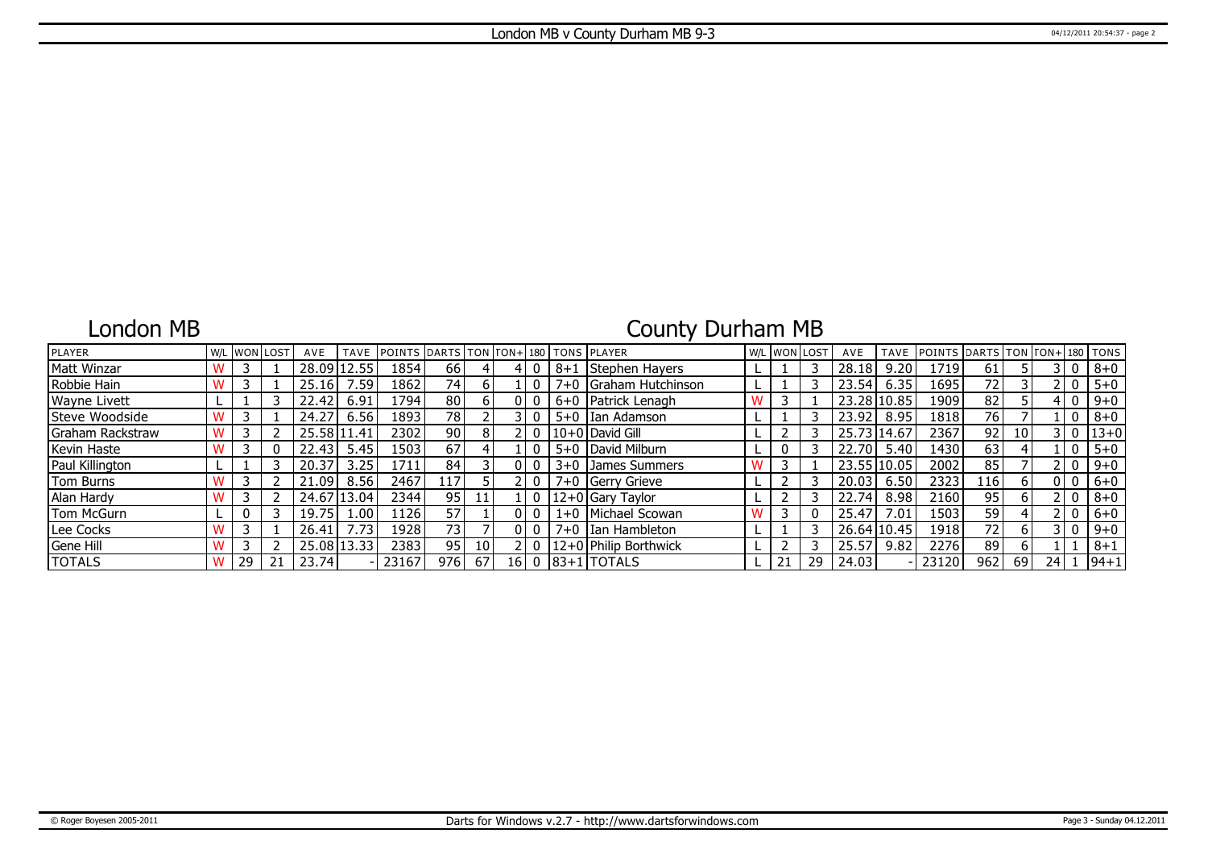## London MB

## County Durham MB

| <b>PLAYER</b>       |     |    | W/L WON LOST | AVE                | <b>TAVE</b>   | POINTS DARTS TON TON+ 180 TONS PLAYER |      |    |      |         |                       | W/L WON LOST |    | AVE         | <b>TAVE</b> | <b>IPOINTS IDARTS I</b> |     |    |      |              | $TON   TON + 180   TONS$ |
|---------------------|-----|----|--------------|--------------------|---------------|---------------------------------------|------|----|------|---------|-----------------------|--------------|----|-------------|-------------|-------------------------|-----|----|------|--------------|--------------------------|
| Matt Winzar         | w   |    |              | 28.09 <sub>1</sub> |               | 1854                                  | 66   |    |      | $8 + 1$ | Stephen Hayers        |              |    | 28.18       | 9.20        | 1719                    | 61  |    |      | $\Omega$     | $8 + 0$                  |
| Robbie Hain         |     |    |              | 25.16              | '.59          | 1862                                  | 74 I |    |      |         | 7+0 Graham Hutchinson |              |    | 23.54       | 6.35        | 1695                    | 72  |    |      | 0            | $5 + 0$                  |
| <b>Wayne Livett</b> |     |    |              | 22.42              | 6.91          | 1794                                  | 80   |    |      |         | 6+0 Patrick Lenagh    |              |    | 23.28 10.85 |             | 1909                    | 82  |    |      | 0            | $9 + 0$                  |
| Steve Woodside      |     |    |              | 24.27              | 6.56          | 1893                                  | 78   |    |      | $5 + 0$ | Ian Adamson           |              |    | 23.92       | 8.95        | 1818                    | 76  |    |      | 0            | $8 + 0$                  |
| Graham Rackstraw    | W   |    |              |                    | 25.58 11.41   | 2302                                  | 90   | 8  |      |         | l 10+0 l David Gill   |              |    | 25.73 14.67 |             | 2367                    | 92  | 10 |      | 0            | $13 + 0$                 |
| Kevin Haste         |     |    |              | 22.43              | 5.45          | 1503                                  | 67   |    |      |         | 5+0   David Milburn   |              |    | 22.70       | 5.40        | 1430                    | 63  |    |      |              | $5 + 0$                  |
| Paul Killington     |     |    |              | 20.37              | 3.25          | 1711                                  | 84   |    |      | $3 + 0$ | James Summers         |              |    | 23.55 10.05 |             | 2002                    | 85  |    |      | 0            | $9 + 0$                  |
| Tom Burns           |     |    |              | 21.09'             | 8.56          | 2467                                  | 117  |    |      | $7 + 0$ | Gerry Grieve          |              |    | 20.03       | 6.50        | 2323                    | 116 | 6  |      | 0            | $6 + 0$                  |
| Alan Hardy          |     |    |              |                    | 24.67   13.04 | 2344                                  | 95 l |    |      |         | 12+0 Gary Taylor      |              |    | 22.74       | 8.98        | 2160                    | 95  | h  |      | $\Omega$     | $8 + 0$                  |
| Tom McGurn          |     | 0  |              | 19.75              | .00           | 1126                                  | 57   |    |      |         | 1+0   Michael Scowan  |              |    | 25.47       | 7.01        | 1503                    | 59  |    |      | $\mathbf{0}$ | $6+0$                    |
| Lee Cocks           |     |    |              | 26.41              |               | 1928                                  | 73   |    |      | $7 + 0$ | I Ian Hambleton       |              |    | 26.64 10.45 |             | 1918                    | 72  | 6  |      | 0            | $9 + 0$                  |
| Gene Hill           | ١٨. |    |              |                    | 25.08 13.33   | 2383                                  | 95 l | 10 |      |         | 12+0 Philip Borthwick |              |    | 25.57       | 9.82        | 2276                    | 89  | 6  |      |              | $8 + 1$                  |
| <b>TOTALS</b>       | w   | 29 |              | 23.74              |               | 23167                                 | 976  | 67 | 16 I |         | $0$ 83+1 TOTALS       |              | 29 | 24.03       |             | 23120                   | 962 | 69 | 24 I |              | $ 94+1$                  |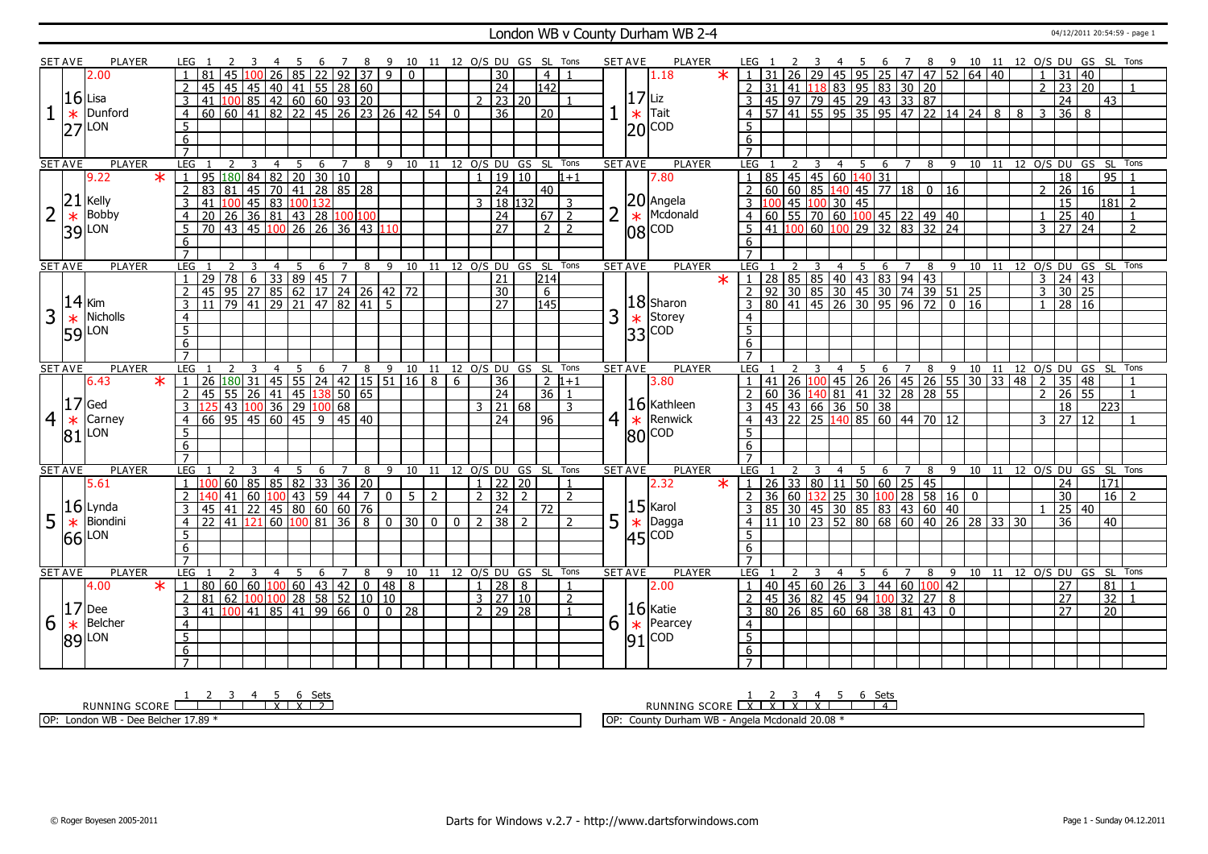#### London WB v County Durham WB 2-4 04/12/2011 20:54:59 - page 1

|                | SET AVE        | PLAYER        |         |                                   |                                                                                                                                                                                                                                                       |                                         |                      |                |                                                                  |                 | 89                      |                                      | 10 11 12 O/S DU GS SL Tons |   |                           |                |                  |                |   | SET AVE        | <b>PLAYER</b>           |                                   |                  |    |                |                                                                                          | 6 | 78               |              |    |  |                |                                  |                           |                             | 9 10 11 12 O/S DU GS SL Tons               |
|----------------|----------------|---------------|---------|-----------------------------------|-------------------------------------------------------------------------------------------------------------------------------------------------------------------------------------------------------------------------------------------------------|-----------------------------------------|----------------------|----------------|------------------------------------------------------------------|-----------------|-------------------------|--------------------------------------|----------------------------|---|---------------------------|----------------|------------------|----------------|---|----------------|-------------------------|-----------------------------------|------------------|----|----------------|------------------------------------------------------------------------------------------|---|------------------|--------------|----|--|----------------|----------------------------------|---------------------------|-----------------------------|--------------------------------------------|
|                |                | 2.00          |         |                                   |                                                                                                                                                                                                                                                       |                                         |                      | 85             |                                                                  |                 | $\overline{22}$ 92 37 9 | $\mathbf{0}$                         |                            |   | $\overline{30}$           |                | $\overline{4}$   |                |   |                | $\ast$<br>1.18          |                                   |                  | 29 |                | $\frac{45}{95}$ 95 25 47 47 52 64 40                                                     |   |                  |              |    |  |                | 31                               | 40                        |                             |                                            |
|                |                |               |         | $\overline{2}$                    | 45                                                                                                                                                                                                                                                    | 45                                      | 45                   |                | $\boxed{40}$ $\boxed{41}$ $\boxed{55}$ $\boxed{28}$ $\boxed{60}$ |                 |                         |                                      |                            |   | $\overline{24}$           |                | $\overline{142}$ |                |   |                |                         | 2                                 | 31               |    |                | $\frac{20}{41}$ 118 83 95 83 30 20                                                       |   |                  |              |    |  |                | $2 \mid 23 \mid$                 | 20                        |                             | $\overline{1}$                             |
|                |                | $16$ Lisa     |         | $\overline{3}$                    |                                                                                                                                                                                                                                                       |                                         |                      |                |                                                                  |                 |                         |                                      |                            |   | $2 \mid 23 \mid 20$       |                |                  |                |   | $ 17 $ Liz     |                         |                                   |                  |    |                |                                                                                          |   |                  |              |    |  |                |                                  |                           | $\overline{43}$             |                                            |
|                |                | Dunford       |         | $\overline{4}$                    | $\frac{141}{100}$ $\frac{100}{85}$ $\frac{42}{42}$ $\frac{60}{60}$ $\frac{60}{93}$ $\frac{320}{20}$<br>$\frac{60}{60}$ $\frac{60}{41}$ $\frac{82}{22}$ $\frac{25}{45}$ $\frac{26}{26}$ $\frac{23}{23}$ $\frac{26}{42}$ $\frac{42}{54}$ $\frac{54}{0}$ |                                         |                      |                |                                                                  |                 |                         |                                      |                            |   | $\overline{36}$           |                | l 20             |                |   |                | Tait                    | $\overline{4}$                    |                  |    |                | 45 97 79 45 29 43 33 87<br>57 41 55 95 35 95 47 22 14 24 8 8 3 36                        |   |                  |              |    |  |                |                                  | 8                         |                             |                                            |
|                | $\ast$         | LON           |         | 5                                 |                                                                                                                                                                                                                                                       |                                         |                      |                |                                                                  |                 |                         |                                      |                            |   |                           |                |                  |                |   | $\ast$         |                         | 5                                 |                  |    |                |                                                                                          |   |                  |              |    |  |                |                                  |                           |                             |                                            |
|                | 27             |               |         |                                   |                                                                                                                                                                                                                                                       |                                         |                      |                |                                                                  |                 |                         |                                      |                            |   |                           |                |                  |                |   |                | $ 20 $ COD              |                                   |                  |    |                |                                                                                          |   |                  |              |    |  |                |                                  |                           |                             |                                            |
|                |                |               |         | 6                                 |                                                                                                                                                                                                                                                       |                                         |                      |                |                                                                  |                 |                         |                                      |                            |   |                           |                |                  |                |   |                |                         | 6                                 |                  |    |                |                                                                                          |   |                  |              |    |  |                |                                  |                           |                             |                                            |
|                |                |               |         | $\overline{7}$                    |                                                                                                                                                                                                                                                       |                                         |                      |                |                                                                  |                 |                         |                                      |                            |   |                           |                |                  |                |   |                |                         |                                   |                  |    |                |                                                                                          |   |                  |              |    |  |                |                                  |                           |                             |                                            |
|                | <b>SET AVE</b> | <b>PLAYER</b> |         | LEG                               |                                                                                                                                                                                                                                                       | <sup>2</sup><br>$\overline{\mathbf{3}}$ | $\overline{4}$       |                |                                                                  |                 |                         | 5 6 7 8 9 10 11 12 O/S DU GS SL Tons |                            |   |                           |                |                  |                |   | <b>SET AVE</b> | <b>PLAYER</b>           |                                   | LEG 1            |    |                |                                                                                          |   |                  |              |    |  |                |                                  |                           | 95                          | 2 3 4 5 6 7 8 9 10 11 12 O/S DU GS SL Tons |
|                |                | 9.22          | $\star$ | $\overline{1}$                    | 95 180 84 82 20 30 10                                                                                                                                                                                                                                 |                                         |                      |                |                                                                  |                 |                         |                                      |                            |   | 19 10                     |                |                  | $1 + 1$        |   |                | 7.80                    |                                   |                  |    |                | 85 45 45 60 140 31                                                                       |   |                  |              |    |  |                | $\overline{18}$                  |                           |                             |                                            |
|                |                |               |         | 2                                 | 83<br>  81                                                                                                                                                                                                                                            |                                         | 81 45 70 41 28 85 28 |                |                                                                  |                 |                         |                                      |                            |   | $\overline{24}$           |                | 40               |                |   |                |                         |                                   | 60               |    |                | $60 \ 85 \ 140 \ 45 \ 77 \ 18 \ 0$                                                       |   |                  |              | 16 |  |                | 26                               | 16                        |                             |                                            |
|                | 21             | Kelly         |         | $\overline{3}$                    | 41                                                                                                                                                                                                                                                    |                                         |                      |                |                                                                  |                 |                         |                                      |                            |   | 3   18   132              |                |                  | $\overline{3}$ |   |                | $20$ Angela             |                                   |                  |    |                | 45 100 30 45                                                                             |   |                  |              |    |  |                | $\overline{15}$                  |                           |                             | $181$ 2                                    |
| $\overline{2}$ | $\ast$         | Bobby         |         | $\overline{4}$                    | 120 26 36 81 43 28 100 100<br>70 43 45 100 26 26 36 43 110                                                                                                                                                                                            |                                         |                      |                |                                                                  |                 |                         |                                      |                            |   | $\overline{24}$           |                | $\boxed{67}$     |                |   | $\ast$         | Mcdonald                | $\overline{4}$                    |                  |    |                |                                                                                          |   |                  |              |    |  |                |                                  | $25 \mid 40$              |                             | $\overline{1}$                             |
|                |                | 39 LON        |         | 5                                 |                                                                                                                                                                                                                                                       |                                         |                      |                |                                                                  |                 |                         |                                      |                            |   | 27                        |                | 212              |                |   |                | 08 COD                  | $5^{\circ}$                       |                  |    |                |                                                                                          |   |                  |              |    |  |                | $3 \mid 27 \mid 24$              |                           |                             | $\overline{z}$                             |
|                |                |               |         | 6                                 |                                                                                                                                                                                                                                                       |                                         |                      |                |                                                                  |                 |                         |                                      |                            |   |                           |                |                  |                |   |                |                         | 6                                 |                  |    |                |                                                                                          |   |                  |              |    |  |                |                                  |                           |                             |                                            |
|                |                |               |         | $\overline{7}$                    |                                                                                                                                                                                                                                                       |                                         |                      |                |                                                                  |                 |                         |                                      |                            |   |                           |                |                  |                |   |                |                         |                                   |                  |    |                |                                                                                          |   |                  |              |    |  |                |                                  |                           |                             |                                            |
|                | <b>SET AVE</b> | <b>PLAYER</b> |         | <b>LEG</b>                        |                                                                                                                                                                                                                                                       | $\mathcal{L}$                           | $\overline{4}$<br>3  | 5              | 6                                                                | 7               | 8                       | 9 10 11 12 0/S DU GS SL              |                            |   |                           |                |                  | Tons           |   | <b>SET AVE</b> | <b>PLAYER</b>           |                                   | LEG <sub>1</sub> | 3  |                | 4 5 6 7 8 9 10 11                                                                        |   |                  |              |    |  |                |                                  |                           | 12 0/S DU GS SL             | Tons                                       |
|                |                |               |         | $\overline{1}$                    | 29 78 6 33 89 45 7<br>45 95 27 85 62 17 24 26 42 72<br>11 79 41 29 21 47 82 41 5                                                                                                                                                                      |                                         |                      |                |                                                                  |                 |                         |                                      |                            |   | 21                        |                | 214              |                |   |                | $\overline{\textbf{x}}$ | $\sqrt{1}$                        |                  |    |                | 28 85 85 40 43 83 94 43<br>92 30 85 30 45 30 74 39 51 25<br>80 41 45 26 30 95 96 72 0 16 |   |                  |              |    |  |                | $3 \mid 24 \mid 43$              |                           |                             |                                            |
|                |                |               |         | $\overline{2}$                    |                                                                                                                                                                                                                                                       |                                         |                      |                |                                                                  |                 |                         |                                      |                            |   | $\overline{30}$           |                | $6\overline{}$   |                |   |                |                         | $\overline{2}$                    |                  |    |                |                                                                                          |   |                  |              |    |  | $\overline{3}$ |                                  | 30 25                     |                             |                                            |
|                | 14             | Kim           |         | $\overline{3}$                    |                                                                                                                                                                                                                                                       |                                         |                      |                |                                                                  |                 |                         |                                      |                            |   | $\overline{27}$           |                | 145              |                |   |                | $ 18 $ Sharon           |                                   |                  |    |                |                                                                                          |   |                  |              |    |  |                | $1 \overline{)28 \overline{)16}$ |                           |                             |                                            |
| 3              | $\ast$         | Nicholls      |         | $\overline{4}$                    |                                                                                                                                                                                                                                                       |                                         |                      |                |                                                                  |                 |                         |                                      |                            |   |                           |                |                  |                | 3 |                | Storey                  | $\overline{4}$                    |                  |    |                |                                                                                          |   |                  |              |    |  |                |                                  |                           |                             |                                            |
|                | 59             | LON           |         | $\overline{5}$                    |                                                                                                                                                                                                                                                       |                                         |                      |                |                                                                  |                 |                         |                                      |                            |   |                           |                |                  |                |   |                | $\frac{*}{33}$ COD      | 5 <sup>2</sup>                    |                  |    |                |                                                                                          |   |                  |              |    |  |                |                                  |                           |                             |                                            |
|                |                |               |         | 6                                 |                                                                                                                                                                                                                                                       |                                         |                      |                |                                                                  |                 |                         |                                      |                            |   |                           |                |                  |                |   |                |                         | 6                                 |                  |    |                |                                                                                          |   |                  |              |    |  |                |                                  |                           |                             |                                            |
|                |                |               |         |                                   |                                                                                                                                                                                                                                                       |                                         |                      |                |                                                                  |                 |                         |                                      |                            |   |                           |                |                  |                |   |                |                         |                                   |                  |    |                |                                                                                          |   |                  |              |    |  |                |                                  |                           |                             |                                            |
|                |                |               |         |                                   |                                                                                                                                                                                                                                                       |                                         |                      |                |                                                                  |                 |                         |                                      |                            |   |                           |                |                  | Tons           |   | <b>SET AVE</b> | <b>PLAYER</b>           | LEG                               |                  |    | $\overline{4}$ |                                                                                          |   |                  |              |    |  |                |                                  | 8 9 10 11 12 0/S DU GS SL |                             |                                            |
|                | <b>SET AVE</b> | <b>PLAYER</b> |         | <b>LEG</b>                        |                                                                                                                                                                                                                                                       |                                         | $\overline{4}$       | 5              | 6                                                                | $7\overline{ }$ |                         | 8 9 10 11 12 0/S DU GS SL            |                            |   |                           |                |                  |                |   |                |                         |                                   |                  |    |                | 5                                                                                        |   |                  |              |    |  |                |                                  |                           |                             | Tons                                       |
|                |                | 6.43          | $\ast$  | $\overline{1}$                    | $26 \,   180   31$                                                                                                                                                                                                                                    |                                         |                      |                |                                                                  |                 |                         |                                      |                            | 6 | 36                        |                | $\overline{2}$   | $1+1$          |   |                | 3.80                    |                                   |                  |    |                |                                                                                          |   | $6 \overline{7}$ |              |    |  | $\overline{2}$ |                                  | 35 48                     |                             |                                            |
|                |                |               |         | 2                                 |                                                                                                                                                                                                                                                       |                                         |                      |                |                                                                  |                 |                         | 45 55 24 42 15 51 16 8               |                            |   | $\overline{24}$           |                | l 36 l           | $\overline{1}$ |   |                |                         |                                   |                  |    |                |                                                                                          |   |                  |              |    |  |                | $2 \mid 26 \mid 55$              |                           |                             |                                            |
|                | 17             | Ged           |         | 3                                 |                                                                                                                                                                                                                                                       |                                         |                      |                |                                                                  |                 |                         |                                      |                            |   |                           |                |                  | $\mathbf{R}$   |   |                |                         |                                   |                  |    |                |                                                                                          |   |                  |              |    |  |                | 18                               |                           | 223                         |                                            |
|                |                |               |         |                                   |                                                                                                                                                                                                                                                       |                                         |                      |                |                                                                  |                 |                         |                                      |                            |   | $3 \mid 21 \mid 68$<br>24 |                | 96               |                |   |                | $ 16 $ Kathleen         |                                   |                  |    |                |                                                                                          |   |                  |              |    |  |                | 3127112                          |                           |                             |                                            |
| $\overline{4}$ | $\ast$         | Carney        |         | $\overline{4}$                    | 145 55 26 41 45 138 50 65<br>125 43 100 36 29 100 68<br>66 95 45 60 45 9 45 40                                                                                                                                                                        |                                         |                      |                |                                                                  |                 |                         |                                      |                            |   |                           |                |                  |                |   |                | $4 \times$ Renwick      |                                   |                  |    |                |                                                                                          |   |                  |              |    |  |                |                                  |                           |                             |                                            |
|                | 81             | LON           |         | $5\overline{)}$                   |                                                                                                                                                                                                                                                       |                                         |                      |                |                                                                  |                 |                         |                                      |                            |   |                           |                |                  |                |   |                | $ 80 $ COD              | 5                                 |                  |    |                |                                                                                          |   |                  |              |    |  |                |                                  |                           |                             |                                            |
|                |                |               |         | 6                                 |                                                                                                                                                                                                                                                       |                                         |                      |                |                                                                  |                 |                         |                                      |                            |   |                           |                |                  |                |   |                |                         | $6\overline{6}$                   |                  |    |                |                                                                                          |   |                  |              |    |  |                |                                  |                           |                             |                                            |
|                |                |               |         | $\overline{7}$                    |                                                                                                                                                                                                                                                       |                                         |                      |                |                                                                  |                 |                         |                                      |                            |   |                           |                |                  |                |   |                |                         | $\overline{7}$                    |                  |    |                |                                                                                          |   |                  |              |    |  |                |                                  |                           |                             | Tons                                       |
|                | <b>SET AVE</b> | PLAYER        |         | <b>LEG</b>                        |                                                                                                                                                                                                                                                       | 3                                       | $\overline{4}$       | $\overline{5}$ | 6                                                                | $\overline{7}$  | 8                       | 9 10 11 12 O/S DU GS SL Tons         |                            |   |                           |                |                  |                |   | <b>SET AVE</b> | <b>PLAYER</b>           | <b>LEG</b>                        |                  | 3  | $\overline{4}$ | $5\overline{)}$                                                                          | 6 |                  |              |    |  |                |                                  |                           | 7 8 9 10 11 12 0/S DU GS SL |                                            |
|                |                | 5.61          |         | $\overline{1}$                    |                                                                                                                                                                                                                                                       |                                         | 60 85 85 82 33 36 20 |                |                                                                  |                 |                         |                                      |                            |   | $1 \mid 22 \mid 20$       |                |                  | $\mathbf{1}$   |   |                | 2.32<br>$\star$         | $\vert$ 1                         |                  |    |                | 26 33 80 11 50 60 25 45                                                                  |   |                  |              |    |  |                | 24                               |                           | 171                         |                                            |
|                |                |               |         | 2                                 |                                                                                                                                                                                                                                                       | $ 41\rangle$                            |                      |                |                                                                  |                 | 7 <sup>1</sup>          | $0 \mid 5 \mid 2$                    |                            |   | 2 32                      | $\overline{2}$ |                  | $\overline{2}$ |   |                |                         |                                   |                  |    |                |                                                                                          |   |                  |              |    |  |                | 30                               |                           | 16                          |                                            |
|                |                | $16$ Lynda    |         | $\overline{3}$                    | 45                                                                                                                                                                                                                                                    | 41                                      |                      |                |                                                                  |                 |                         |                                      |                            |   | 24                        |                | $\overline{72}$  |                |   |                | $ 15 $ Karol            |                                   |                  |    |                | 36 60 132 25 30 100 28 58 16 0<br>85 30 45 30 85 83 43 60 40                             |   |                  |              |    |  |                |                                  | 25 40                     |                             |                                            |
| 5              | $\ast$         | Biondini      |         | $\overline{4}$                    | $\vert$ 22   41   121   60   100   81   36   8   0   30   0   0                                                                                                                                                                                       |                                         |                      |                |                                                                  |                 |                         |                                      |                            |   | $2 \mid 38 \mid 2$        |                |                  | $\overline{2}$ | 5 | $\ast$         | Dagga                   | $\overline{4}$                    |                  |    |                | $\frac{11}{11}$ $\frac{10}{23}$ $\frac{23}{52}$ 80 68 60 40 26 28 33 30                  |   |                  |              |    |  |                | $\overline{36}$                  |                           | 40                          |                                            |
|                | 66             | LON           |         | $5\overline{)}$                   |                                                                                                                                                                                                                                                       |                                         |                      |                |                                                                  |                 |                         |                                      |                            |   |                           |                |                  |                |   |                |                         | 5                                 |                  |    |                |                                                                                          |   |                  |              |    |  |                |                                  |                           |                             |                                            |
|                |                |               |         | 6                                 |                                                                                                                                                                                                                                                       |                                         |                      |                |                                                                  |                 |                         |                                      |                            |   |                           |                |                  |                |   |                | $ 45 ^{COD}$            | 6                                 |                  |    |                |                                                                                          |   |                  |              |    |  |                |                                  |                           |                             |                                            |
|                |                |               |         |                                   |                                                                                                                                                                                                                                                       |                                         |                      |                |                                                                  |                 |                         |                                      |                            |   |                           |                |                  |                |   |                |                         |                                   |                  |    |                |                                                                                          |   |                  |              |    |  |                |                                  |                           |                             |                                            |
|                | <b>SET AVE</b> | PLAYER        |         | LEG                               |                                                                                                                                                                                                                                                       | 2                                       | 3<br>$\overline{4}$  | 5              | 6                                                                | $\overline{7}$  | 8                       | 9                                    | 10 11 12 O/S DU GS SL Tons |   |                           |                |                  |                |   | <b>SET AVE</b> | <b>PLAYER</b>           | LEG                               |                  |    | $\overline{4}$ | - 5                                                                                      | 6 | $7^{\circ}$      | 8            | 9  |  |                |                                  |                           |                             | 10 11 12 O/S DU GS SL Tons                 |
|                |                | 4.00          | $\ast$  | $\mathbf{1}$                      | 80   60   60   100   60   43   42                                                                                                                                                                                                                     |                                         |                      |                |                                                                  |                 |                         | 0  48   8                            |                            |   | $1 \mid 28 \mid 8$        |                |                  |                |   |                | 2.00                    |                                   |                  |    |                | 40   45   60   26   3                                                                    |   |                  | 44 60 100 42 |    |  |                | 27                               |                           | 81                          |                                            |
|                |                |               |         | 2                                 |                                                                                                                                                                                                                                                       |                                         |                      |                |                                                                  |                 |                         |                                      |                            |   | 3   27   10               |                |                  | 2              |   |                |                         |                                   |                  |    |                |                                                                                          |   |                  |              |    |  |                | 27                               |                           | 32                          |                                            |
|                | 17             | Dee           |         | $\overline{3}$                    | 81 62 100 100 28 58 52 10 10<br>41 100 41 85 41 99 66 0 0 28                                                                                                                                                                                          |                                         |                      |                |                                                                  |                 |                         |                                      |                            |   | $2 \mid 29 \mid 28$       |                |                  |                |   |                | $ 16 $ Katie            | $\overline{3}$                    |                  |    |                | 45 36 82 45 94 100 32 27 8<br>80 26 85 60 68 38 81 43 0                                  |   |                  |              |    |  |                | 27                               |                           | 20 <sup>1</sup>             |                                            |
| 6              | $\ast$         | Belcher       |         | $\overline{4}$                    |                                                                                                                                                                                                                                                       |                                         |                      |                |                                                                  |                 |                         |                                      |                            |   |                           |                |                  |                | 6 | $\ast$         | Pearcey                 | $\overline{4}$                    |                  |    |                |                                                                                          |   |                  |              |    |  |                |                                  |                           |                             |                                            |
|                |                |               |         | 5                                 |                                                                                                                                                                                                                                                       |                                         |                      |                |                                                                  |                 |                         |                                      |                            |   |                           |                |                  |                |   |                | <b>COD</b>              | 5                                 |                  |    |                |                                                                                          |   |                  |              |    |  |                |                                  |                           |                             |                                            |
|                |                | $ 89 $ LON    |         | $6\overline{6}$<br>$\overline{7}$ |                                                                                                                                                                                                                                                       |                                         |                      |                |                                                                  |                 |                         |                                      |                            |   |                           |                |                  |                |   | 91             |                         | $6\overline{6}$<br>$\overline{7}$ |                  |    |                |                                                                                          |   |                  |              |    |  |                |                                  |                           |                             |                                            |

RUNNING SCORE 1 2 3 4 5 X 6 X Sets 2

OP: London WB - Dee Belcher 17.89 \*

RUNNING SCORE 1 X 2 X 3 X 4 X 5 6 Sets 4

OP: County Durham WB - Angela Mcdonald 20.08 \*